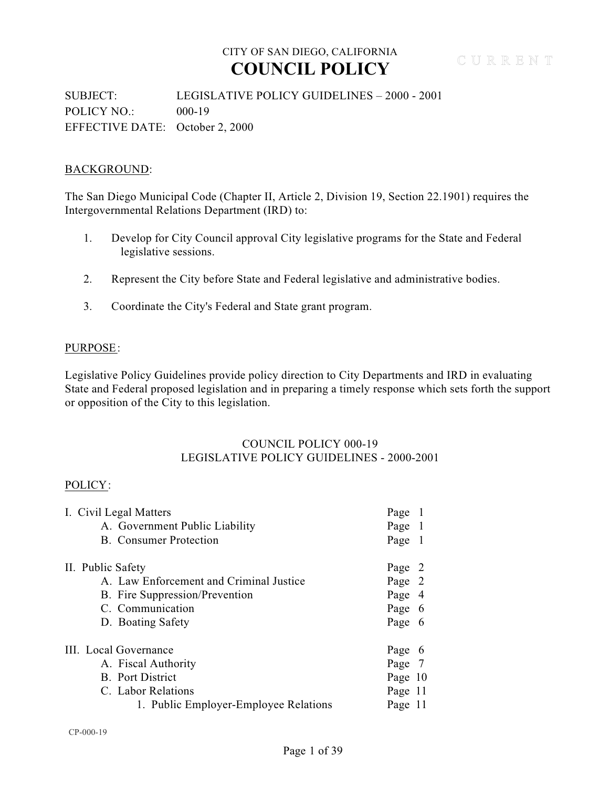### SUBJECT: LEGISLATIVE POLICY GUIDELINES – 2000 - 2001 POLICY NO.: 000-19 EFFECTIVE DATE: October 2, 2000

### BACKGROUND:

The San Diego Municipal Code (Chapter II, Article 2, Division 19, Section 22.1901) requires the Intergovernmental Relations Department (IRD) to:

- 1. Develop for City Council approval City legislative programs for the State and Federal legislative sessions.
- 2. Represent the City before State and Federal legislative and administrative bodies.
- 3. Coordinate the City's Federal and State grant program.

#### PURPOSE:

Legislative Policy Guidelines provide policy direction to City Departments and IRD in evaluating State and Federal proposed legislation and in preparing a timely response which sets forth the support or opposition of the City to this legislation.

#### COUNCIL POLICY 000-19 LEGISLATIVE POLICY GUIDELINES - 2000-2001

#### POLICY:

| I. Civil Legal Matters                  | Page 1  |  |
|-----------------------------------------|---------|--|
| A. Government Public Liability          | Page 1  |  |
| <b>B.</b> Consumer Protection           | Page 1  |  |
| II. Public Safety                       | Page 2  |  |
| A. Law Enforcement and Criminal Justice | Page 2  |  |
| B. Fire Suppression/Prevention          | Page 4  |  |
| C. Communication                        | Page 6  |  |
| D. Boating Safety                       | Page 6  |  |
| III. Local Governance                   | Page 6  |  |
| A. Fiscal Authority                     | Page 7  |  |
| <b>B.</b> Port District                 | Page 10 |  |
| C. Labor Relations                      | Page 11 |  |
| 1. Public Employer-Employee Relations   | Page 11 |  |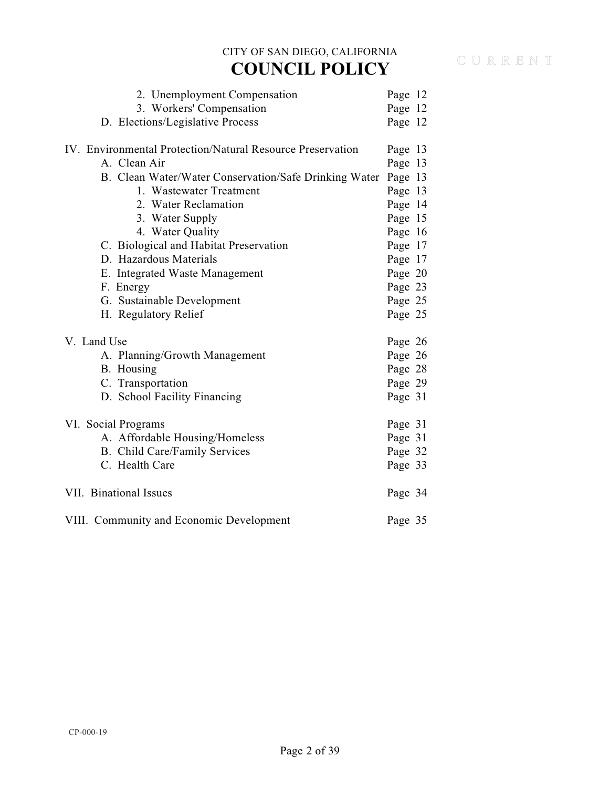| 2. Unemployment Compensation                               | Page 12 |  |
|------------------------------------------------------------|---------|--|
| 3. Workers' Compensation                                   | Page 12 |  |
| D. Elections/Legislative Process                           | Page 12 |  |
| IV. Environmental Protection/Natural Resource Preservation | Page 13 |  |
| A. Clean Air                                               | Page 13 |  |
| B. Clean Water/Water Conservation/Safe Drinking Water      | Page 13 |  |
| 1. Wastewater Treatment                                    | Page 13 |  |
| 2. Water Reclamation                                       | Page 14 |  |
| 3. Water Supply                                            | Page 15 |  |
| 4. Water Quality                                           | Page 16 |  |
| C. Biological and Habitat Preservation                     | Page 17 |  |
| D. Hazardous Materials                                     | Page 17 |  |
| E. Integrated Waste Management                             | Page 20 |  |
| F. Energy                                                  | Page 23 |  |
| G. Sustainable Development                                 | Page 25 |  |
| H. Regulatory Relief                                       | Page 25 |  |
| V. Land Use                                                | Page 26 |  |
| A. Planning/Growth Management                              | Page 26 |  |
| B. Housing                                                 | Page 28 |  |
| C. Transportation                                          | Page 29 |  |
| D. School Facility Financing                               | Page 31 |  |
| VI. Social Programs                                        | Page 31 |  |
| A. Affordable Housing/Homeless                             | Page 31 |  |
| B. Child Care/Family Services                              | Page 32 |  |
| C. Health Care                                             | Page 33 |  |
| VII. Binational Issues                                     | Page 34 |  |
| VIII. Community and Economic Development                   | Page 35 |  |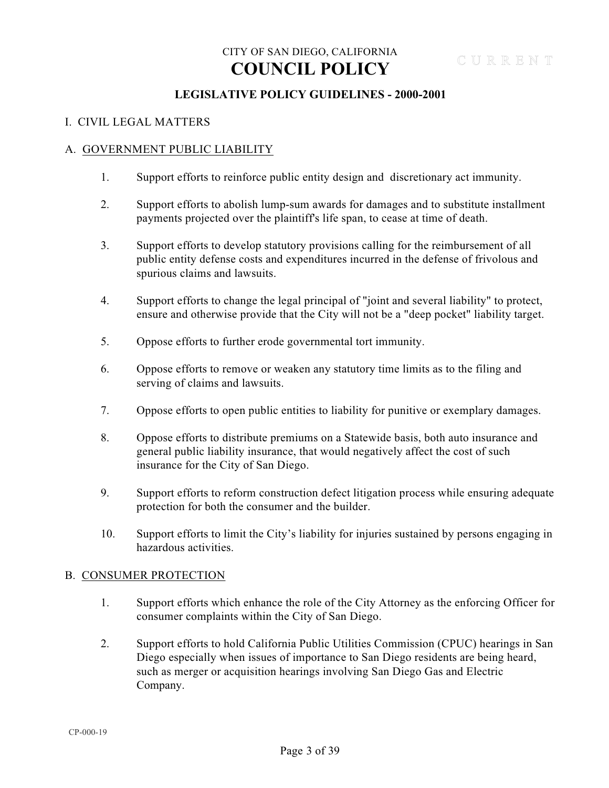### **LEGISLATIVE POLICY GUIDELINES - 2000-2001**

#### I. CIVIL LEGAL MATTERS

#### A. GOVERNMENT PUBLIC LIABILITY

- 1. Support efforts to reinforce public entity design and discretionary act immunity.
- 2. Support efforts to abolish lump-sum awards for damages and to substitute installment payments projected over the plaintiff's life span, to cease at time of death.
- 3. Support efforts to develop statutory provisions calling for the reimbursement of all public entity defense costs and expenditures incurred in the defense of frivolous and spurious claims and lawsuits.
- 4. Support efforts to change the legal principal of "joint and several liability" to protect, ensure and otherwise provide that the City will not be a "deep pocket" liability target.
- 5. Oppose efforts to further erode governmental tort immunity.
- 6. Oppose efforts to remove or weaken any statutory time limits as to the filing and serving of claims and lawsuits.
- 7. Oppose efforts to open public entities to liability for punitive or exemplary damages.
- 8. Oppose efforts to distribute premiums on a Statewide basis, both auto insurance and general public liability insurance, that would negatively affect the cost of such insurance for the City of San Diego.
- 9. Support efforts to reform construction defect litigation process while ensuring adequate protection for both the consumer and the builder.
- 10. Support efforts to limit the City's liability for injuries sustained by persons engaging in hazardous activities.

#### B. CONSUMER PROTECTION

- 1. Support efforts which enhance the role of the City Attorney as the enforcing Officer for consumer complaints within the City of San Diego.
- 2. Support efforts to hold California Public Utilities Commission (CPUC) hearings in San Diego especially when issues of importance to San Diego residents are being heard, such as merger or acquisition hearings involving San Diego Gas and Electric Company.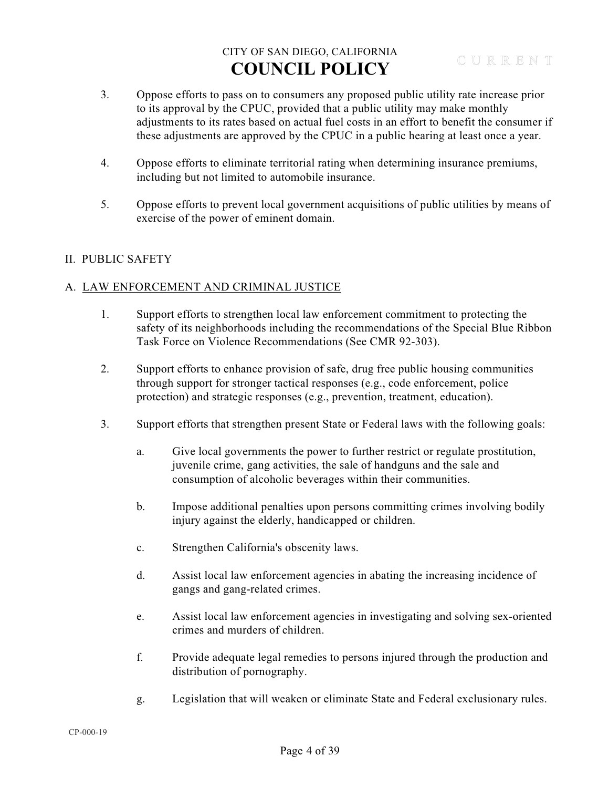- 3. Oppose efforts to pass on to consumers any proposed public utility rate increase prior to its approval by the CPUC, provided that a public utility may make monthly adjustments to its rates based on actual fuel costs in an effort to benefit the consumer if these adjustments are approved by the CPUC in a public hearing at least once a year.
- 4. Oppose efforts to eliminate territorial rating when determining insurance premiums, including but not limited to automobile insurance.
- 5. Oppose efforts to prevent local government acquisitions of public utilities by means of exercise of the power of eminent domain.

### II. PUBLIC SAFETY

### A. LAW ENFORCEMENT AND CRIMINAL JUSTICE

- 1. Support efforts to strengthen local law enforcement commitment to protecting the safety of its neighborhoods including the recommendations of the Special Blue Ribbon Task Force on Violence Recommendations (See CMR 92-303).
- 2. Support efforts to enhance provision of safe, drug free public housing communities through support for stronger tactical responses (e.g., code enforcement, police protection) and strategic responses (e.g., prevention, treatment, education).
- 3. Support efforts that strengthen present State or Federal laws with the following goals:
	- a. Give local governments the power to further restrict or regulate prostitution, juvenile crime, gang activities, the sale of handguns and the sale and consumption of alcoholic beverages within their communities.
	- b. Impose additional penalties upon persons committing crimes involving bodily injury against the elderly, handicapped or children.
	- c. Strengthen California's obscenity laws.
	- d. Assist local law enforcement agencies in abating the increasing incidence of gangs and gang-related crimes.
	- e. Assist local law enforcement agencies in investigating and solving sex-oriented crimes and murders of children.
	- f. Provide adequate legal remedies to persons injured through the production and distribution of pornography.
	- g. Legislation that will weaken or eliminate State and Federal exclusionary rules.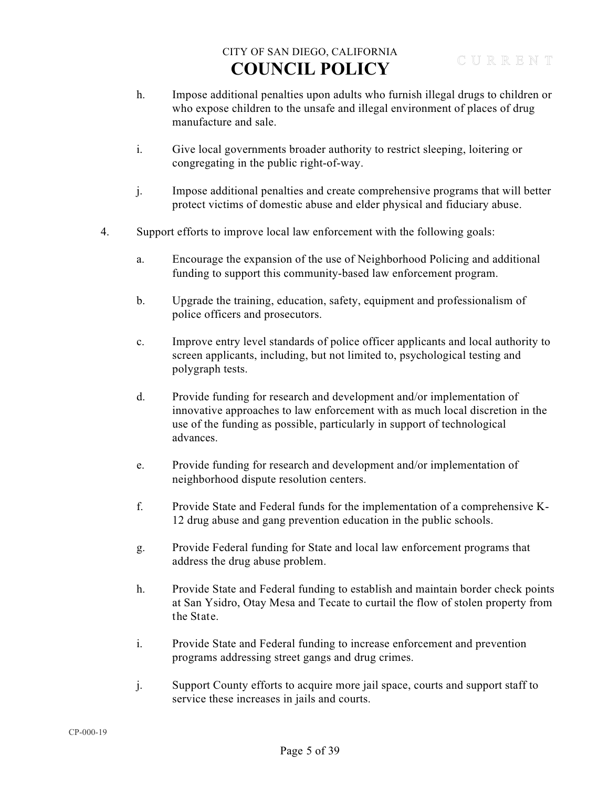- h. Impose additional penalties upon adults who furnish illegal drugs to children or who expose children to the unsafe and illegal environment of places of drug manufacture and sale.
- i. Give local governments broader authority to restrict sleeping, loitering or congregating in the public right-of-way.
- j. Impose additional penalties and create comprehensive programs that will better protect victims of domestic abuse and elder physical and fiduciary abuse.
- 4. Support efforts to improve local law enforcement with the following goals:
	- a. Encourage the expansion of the use of Neighborhood Policing and additional funding to support this community-based law enforcement program.
	- b. Upgrade the training, education, safety, equipment and professionalism of police officers and prosecutors.
	- c. Improve entry level standards of police officer applicants and local authority to screen applicants, including, but not limited to, psychological testing and polygraph tests.
	- d. Provide funding for research and development and/or implementation of innovative approaches to law enforcement with as much local discretion in the use of the funding as possible, particularly in support of technological advances.
	- e. Provide funding for research and development and/or implementation of neighborhood dispute resolution centers.
	- f. Provide State and Federal funds for the implementation of a comprehensive K-12 drug abuse and gang prevention education in the public schools.
	- g. Provide Federal funding for State and local law enforcement programs that address the drug abuse problem.
	- h. Provide State and Federal funding to establish and maintain border check points at San Ysidro, Otay Mesa and Tecate to curtail the flow of stolen property from the State.
	- i. Provide State and Federal funding to increase enforcement and prevention programs addressing street gangs and drug crimes.
	- j. Support County efforts to acquire more jail space, courts and support staff to service these increases in jails and courts.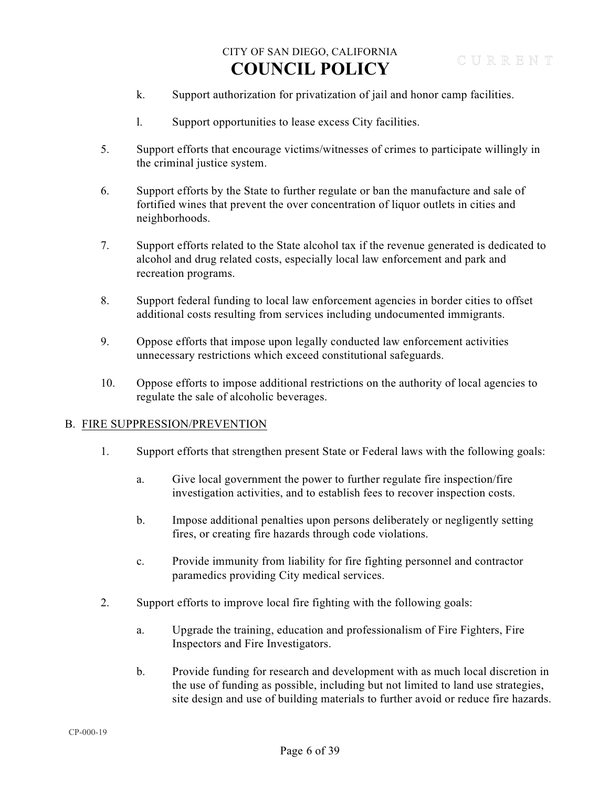- k. Support authorization for privatization of jail and honor camp facilities.
- l. Support opportunities to lease excess City facilities.
- 5. Support efforts that encourage victims/witnesses of crimes to participate willingly in the criminal justice system.
- 6. Support efforts by the State to further regulate or ban the manufacture and sale of fortified wines that prevent the over concentration of liquor outlets in cities and neighborhoods.
- 7. Support efforts related to the State alcohol tax if the revenue generated is dedicated to alcohol and drug related costs, especially local law enforcement and park and recreation programs.
- 8. Support federal funding to local law enforcement agencies in border cities to offset additional costs resulting from services including undocumented immigrants.
- 9. Oppose efforts that impose upon legally conducted law enforcement activities unnecessary restrictions which exceed constitutional safeguards.
- 10. Oppose efforts to impose additional restrictions on the authority of local agencies to regulate the sale of alcoholic beverages.

#### B. FIRE SUPPRESSION/PREVENTION

- 1. Support efforts that strengthen present State or Federal laws with the following goals:
	- a. Give local government the power to further regulate fire inspection/fire investigation activities, and to establish fees to recover inspection costs.
	- b. Impose additional penalties upon persons deliberately or negligently setting fires, or creating fire hazards through code violations.
	- c. Provide immunity from liability for fire fighting personnel and contractor paramedics providing City medical services.
- 2. Support efforts to improve local fire fighting with the following goals:
	- a. Upgrade the training, education and professionalism of Fire Fighters, Fire Inspectors and Fire Investigators.
	- b. Provide funding for research and development with as much local discretion in the use of funding as possible, including but not limited to land use strategies, site design and use of building materials to further avoid or reduce fire hazards.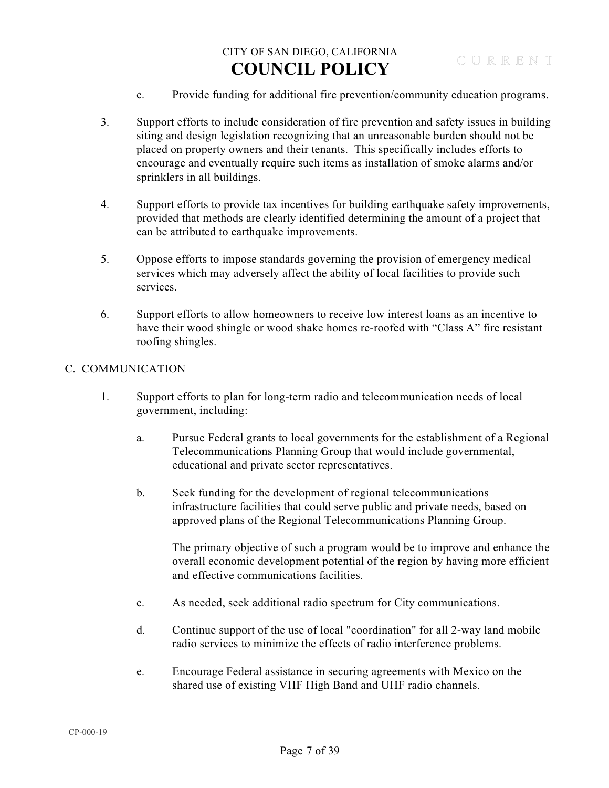- c. Provide funding for additional fire prevention/community education programs.
- 3. Support efforts to include consideration of fire prevention and safety issues in building siting and design legislation recognizing that an unreasonable burden should not be placed on property owners and their tenants. This specifically includes efforts to encourage and eventually require such items as installation of smoke alarms and/or sprinklers in all buildings.
- 4. Support efforts to provide tax incentives for building earthquake safety improvements, provided that methods are clearly identified determining the amount of a project that can be attributed to earthquake improvements.
- 5. Oppose efforts to impose standards governing the provision of emergency medical services which may adversely affect the ability of local facilities to provide such services.
- 6. Support efforts to allow homeowners to receive low interest loans as an incentive to have their wood shingle or wood shake homes re-roofed with "Class A" fire resistant roofing shingles.

### C. COMMUNICATION

- 1. Support efforts to plan for long-term radio and telecommunication needs of local government, including:
	- a. Pursue Federal grants to local governments for the establishment of a Regional Telecommunications Planning Group that would include governmental, educational and private sector representatives.
	- b. Seek funding for the development of regional telecommunications infrastructure facilities that could serve public and private needs, based on approved plans of the Regional Telecommunications Planning Group.

The primary objective of such a program would be to improve and enhance the overall economic development potential of the region by having more efficient and effective communications facilities.

- c. As needed, seek additional radio spectrum for City communications.
- d. Continue support of the use of local "coordination" for all 2-way land mobile radio services to minimize the effects of radio interference problems.
- e. Encourage Federal assistance in securing agreements with Mexico on the shared use of existing VHF High Band and UHF radio channels.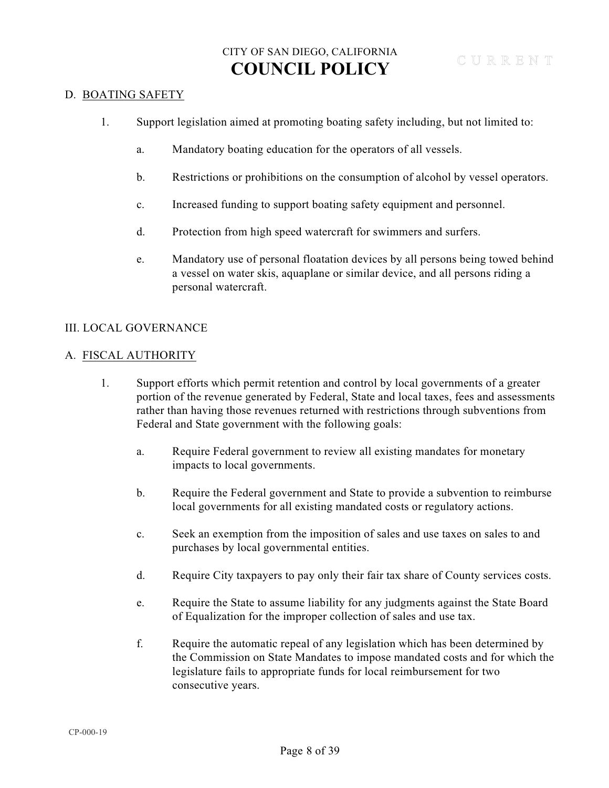#### D. BOATING SAFETY

- 1. Support legislation aimed at promoting boating safety including, but not limited to:
	- a. Mandatory boating education for the operators of all vessels.
	- b. Restrictions or prohibitions on the consumption of alcohol by vessel operators.
	- c. Increased funding to support boating safety equipment and personnel.
	- d. Protection from high speed watercraft for swimmers and surfers.
	- e. Mandatory use of personal floatation devices by all persons being towed behind a vessel on water skis, aquaplane or similar device, and all persons riding a personal watercraft.

### III. LOCAL GOVERNANCE

#### A. FISCAL AUTHORITY

- 1. Support efforts which permit retention and control by local governments of a greater portion of the revenue generated by Federal, State and local taxes, fees and assessments rather than having those revenues returned with restrictions through subventions from Federal and State government with the following goals:
	- a. Require Federal government to review all existing mandates for monetary impacts to local governments.
	- b. Require the Federal government and State to provide a subvention to reimburse local governments for all existing mandated costs or regulatory actions.
	- c. Seek an exemption from the imposition of sales and use taxes on sales to and purchases by local governmental entities.
	- d. Require City taxpayers to pay only their fair tax share of County services costs.
	- e. Require the State to assume liability for any judgments against the State Board of Equalization for the improper collection of sales and use tax.
	- f. Require the automatic repeal of any legislation which has been determined by the Commission on State Mandates to impose mandated costs and for which the legislature fails to appropriate funds for local reimbursement for two consecutive years.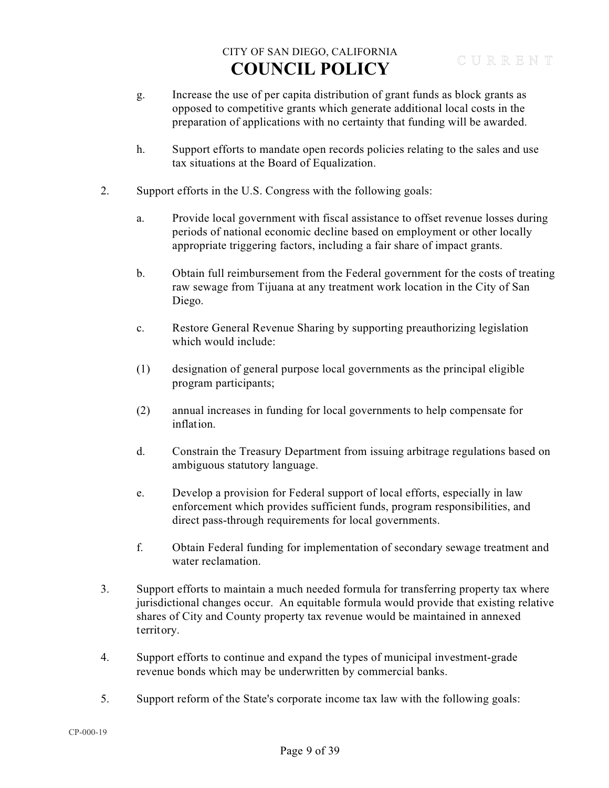- g. Increase the use of per capita distribution of grant funds as block grants as opposed to competitive grants which generate additional local costs in the preparation of applications with no certainty that funding will be awarded.
- h. Support efforts to mandate open records policies relating to the sales and use tax situations at the Board of Equalization.
- 2. Support efforts in the U.S. Congress with the following goals:
	- a. Provide local government with fiscal assistance to offset revenue losses during periods of national economic decline based on employment or other locally appropriate triggering factors, including a fair share of impact grants.
	- b. Obtain full reimbursement from the Federal government for the costs of treating raw sewage from Tijuana at any treatment work location in the City of San Diego.
	- c. Restore General Revenue Sharing by supporting preauthorizing legislation which would include:
	- (1) designation of general purpose local governments as the principal eligible program participants;
	- (2) annual increases in funding for local governments to help compensate for inflation.
	- d. Constrain the Treasury Department from issuing arbitrage regulations based on ambiguous statutory language.
	- e. Develop a provision for Federal support of local efforts, especially in law enforcement which provides sufficient funds, program responsibilities, and direct pass-through requirements for local governments.
	- f. Obtain Federal funding for implementation of secondary sewage treatment and water reclamation.
- 3. Support efforts to maintain a much needed formula for transferring property tax where jurisdictional changes occur. An equitable formula would provide that existing relative shares of City and County property tax revenue would be maintained in annexed territory.
- 4. Support efforts to continue and expand the types of municipal investment-grade revenue bonds which may be underwritten by commercial banks.
- 5. Support reform of the State's corporate income tax law with the following goals: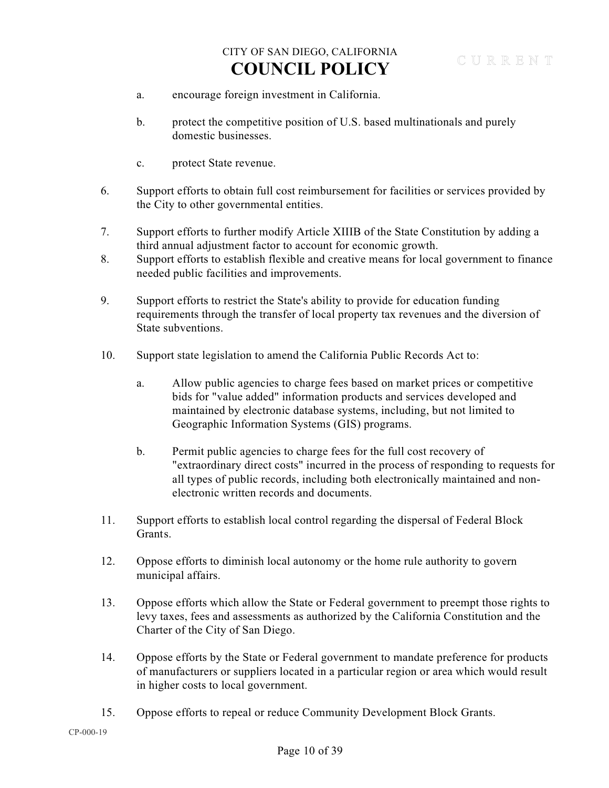- a. encourage foreign investment in California.
- b. protect the competitive position of U.S. based multinationals and purely domestic businesses.
- c. protect State revenue.
- 6. Support efforts to obtain full cost reimbursement for facilities or services provided by the City to other governmental entities.
- 7. Support efforts to further modify Article XIIIB of the State Constitution by adding a third annual adjustment factor to account for economic growth.
- 8. Support efforts to establish flexible and creative means for local government to finance needed public facilities and improvements.
- 9. Support efforts to restrict the State's ability to provide for education funding requirements through the transfer of local property tax revenues and the diversion of State subventions.
- 10. Support state legislation to amend the California Public Records Act to:
	- a. Allow public agencies to charge fees based on market prices or competitive bids for "value added" information products and services developed and maintained by electronic database systems, including, but not limited to Geographic Information Systems (GIS) programs.
	- b. Permit public agencies to charge fees for the full cost recovery of "extraordinary direct costs" incurred in the process of responding to requests for all types of public records, including both electronically maintained and nonelectronic written records and documents.
- 11. Support efforts to establish local control regarding the dispersal of Federal Block Grants.
- 12. Oppose efforts to diminish local autonomy or the home rule authority to govern municipal affairs.
- 13. Oppose efforts which allow the State or Federal government to preempt those rights to levy taxes, fees and assessments as authorized by the California Constitution and the Charter of the City of San Diego.
- 14. Oppose efforts by the State or Federal government to mandate preference for products of manufacturers or suppliers located in a particular region or area which would result in higher costs to local government.
- 15. Oppose efforts to repeal or reduce Community Development Block Grants.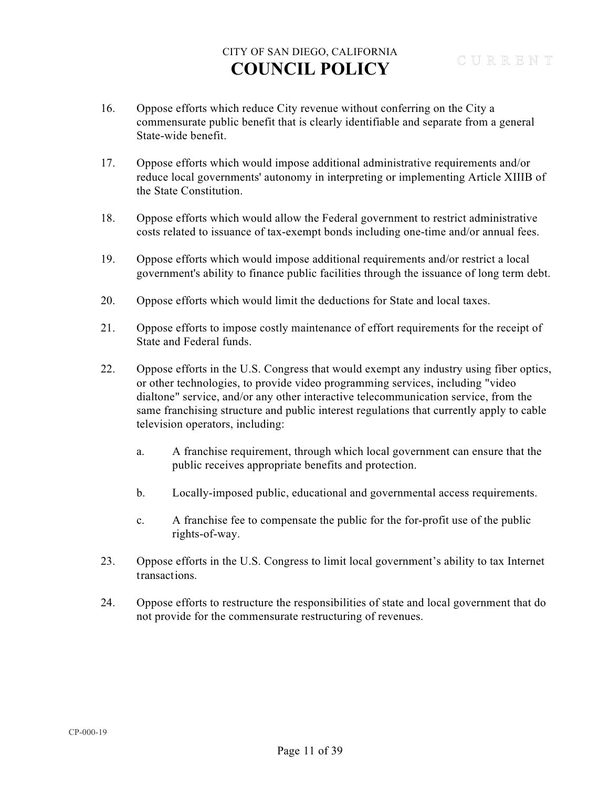- 16. Oppose efforts which reduce City revenue without conferring on the City a commensurate public benefit that is clearly identifiable and separate from a general State-wide benefit.
- 17. Oppose efforts which would impose additional administrative requirements and/or reduce local governments' autonomy in interpreting or implementing Article XIIIB of the State Constitution.
- 18. Oppose efforts which would allow the Federal government to restrict administrative costs related to issuance of tax-exempt bonds including one-time and/or annual fees.
- 19. Oppose efforts which would impose additional requirements and/or restrict a local government's ability to finance public facilities through the issuance of long term debt.
- 20. Oppose efforts which would limit the deductions for State and local taxes.
- 21. Oppose efforts to impose costly maintenance of effort requirements for the receipt of State and Federal funds.
- 22. Oppose efforts in the U.S. Congress that would exempt any industry using fiber optics, or other technologies, to provide video programming services, including "video dialtone" service, and/or any other interactive telecommunication service, from the same franchising structure and public interest regulations that currently apply to cable television operators, including:
	- a. A franchise requirement, through which local government can ensure that the public receives appropriate benefits and protection.
	- b. Locally-imposed public, educational and governmental access requirements.
	- c. A franchise fee to compensate the public for the for-profit use of the public rights-of-way.
- 23. Oppose efforts in the U.S. Congress to limit local government's ability to tax Internet transactions.
- 24. Oppose efforts to restructure the responsibilities of state and local government that do not provide for the commensurate restructuring of revenues.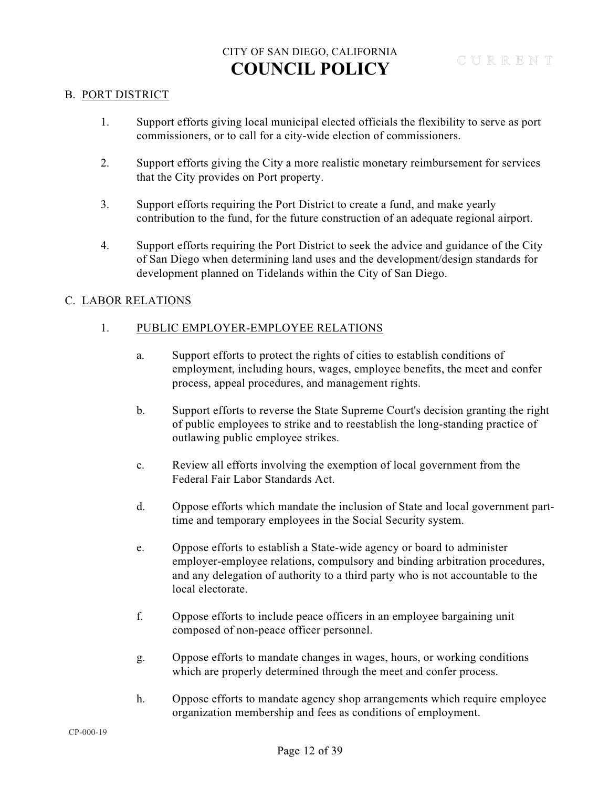#### B. PORT DISTRICT

- 1. Support efforts giving local municipal elected officials the flexibility to serve as port commissioners, or to call for a city-wide election of commissioners.
- 2. Support efforts giving the City a more realistic monetary reimbursement for services that the City provides on Port property.
- 3. Support efforts requiring the Port District to create a fund, and make yearly contribution to the fund, for the future construction of an adequate regional airport.
- 4. Support efforts requiring the Port District to seek the advice and guidance of the City of San Diego when determining land uses and the development/design standards for development planned on Tidelands within the City of San Diego.

### C. LABOR RELATIONS

### 1. PUBLIC EMPLOYER-EMPLOYEE RELATIONS

- a. Support efforts to protect the rights of cities to establish conditions of employment, including hours, wages, employee benefits, the meet and confer process, appeal procedures, and management rights.
- b. Support efforts to reverse the State Supreme Court's decision granting the right of public employees to strike and to reestablish the long-standing practice of outlawing public employee strikes.
- c. Review all efforts involving the exemption of local government from the Federal Fair Labor Standards Act.
- d. Oppose efforts which mandate the inclusion of State and local government parttime and temporary employees in the Social Security system.
- e. Oppose efforts to establish a State-wide agency or board to administer employer-employee relations, compulsory and binding arbitration procedures, and any delegation of authority to a third party who is not accountable to the local electorate.
- f. Oppose efforts to include peace officers in an employee bargaining unit composed of non-peace officer personnel.
- g. Oppose efforts to mandate changes in wages, hours, or working conditions which are properly determined through the meet and confer process.
- h. Oppose efforts to mandate agency shop arrangements which require employee organization membership and fees as conditions of employment.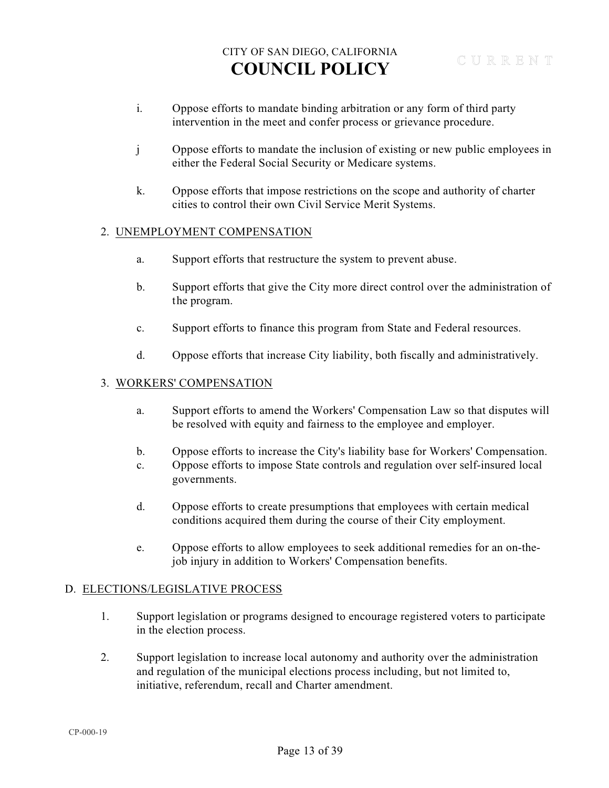- i. Oppose efforts to mandate binding arbitration or any form of third party intervention in the meet and confer process or grievance procedure.
- j Oppose efforts to mandate the inclusion of existing or new public employees in either the Federal Social Security or Medicare systems.
- k. Oppose efforts that impose restrictions on the scope and authority of charter cities to control their own Civil Service Merit Systems.

#### 2. UNEMPLOYMENT COMPENSATION

- a. Support efforts that restructure the system to prevent abuse.
- b. Support efforts that give the City more direct control over the administration of the program.
- c. Support efforts to finance this program from State and Federal resources.
- d. Oppose efforts that increase City liability, both fiscally and administratively.

#### 3. WORKERS' COMPENSATION

- a. Support efforts to amend the Workers' Compensation Law so that disputes will be resolved with equity and fairness to the employee and employer.
- b. Oppose efforts to increase the City's liability base for Workers' Compensation.
- c. Oppose efforts to impose State controls and regulation over self-insured local governments.
- d. Oppose efforts to create presumptions that employees with certain medical conditions acquired them during the course of their City employment.
- e. Oppose efforts to allow employees to seek additional remedies for an on-thejob injury in addition to Workers' Compensation benefits.

#### D. ELECTIONS/LEGISLATIVE PROCESS

- 1. Support legislation or programs designed to encourage registered voters to participate in the election process.
- 2. Support legislation to increase local autonomy and authority over the administration and regulation of the municipal elections process including, but not limited to, initiative, referendum, recall and Charter amendment.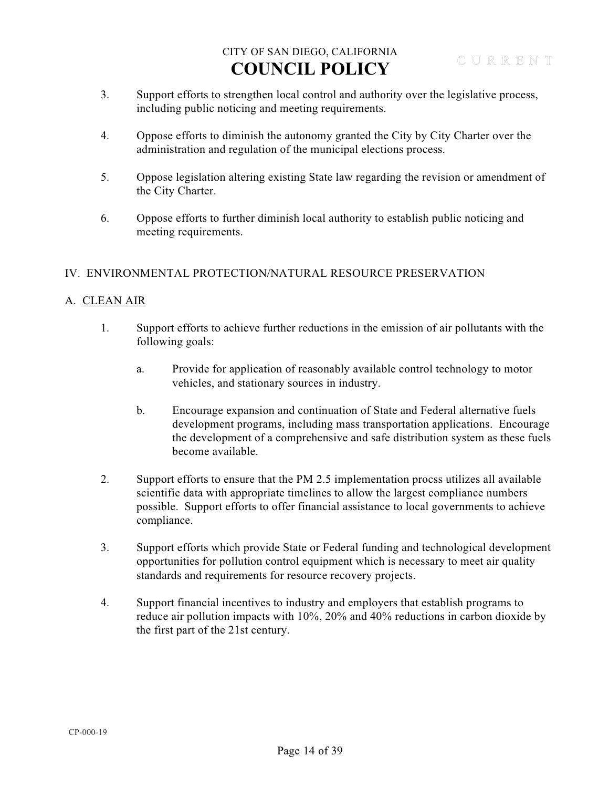- 3. Support efforts to strengthen local control and authority over the legislative process, including public noticing and meeting requirements.
- 4. Oppose efforts to diminish the autonomy granted the City by City Charter over the administration and regulation of the municipal elections process.
- 5. Oppose legislation altering existing State law regarding the revision or amendment of the City Charter.
- 6. Oppose efforts to further diminish local authority to establish public noticing and meeting requirements.

### IV. ENVIRONMENTAL PROTECTION/NATURAL RESOURCE PRESERVATION

### A. CLEAN AIR

- 1. Support efforts to achieve further reductions in the emission of air pollutants with the following goals:
	- a. Provide for application of reasonably available control technology to motor vehicles, and stationary sources in industry.
	- b. Encourage expansion and continuation of State and Federal alternative fuels development programs, including mass transportation applications. Encourage the development of a comprehensive and safe distribution system as these fuels become available.
- 2. Support efforts to ensure that the PM 2.5 implementation procss utilizes all available scientific data with appropriate timelines to allow the largest compliance numbers possible. Support efforts to offer financial assistance to local governments to achieve compliance.
- 3. Support efforts which provide State or Federal funding and technological development opportunities for pollution control equipment which is necessary to meet air quality standards and requirements for resource recovery projects.
- 4. Support financial incentives to industry and employers that establish programs to reduce air pollution impacts with 10%, 20% and 40% reductions in carbon dioxide by the first part of the 21st century.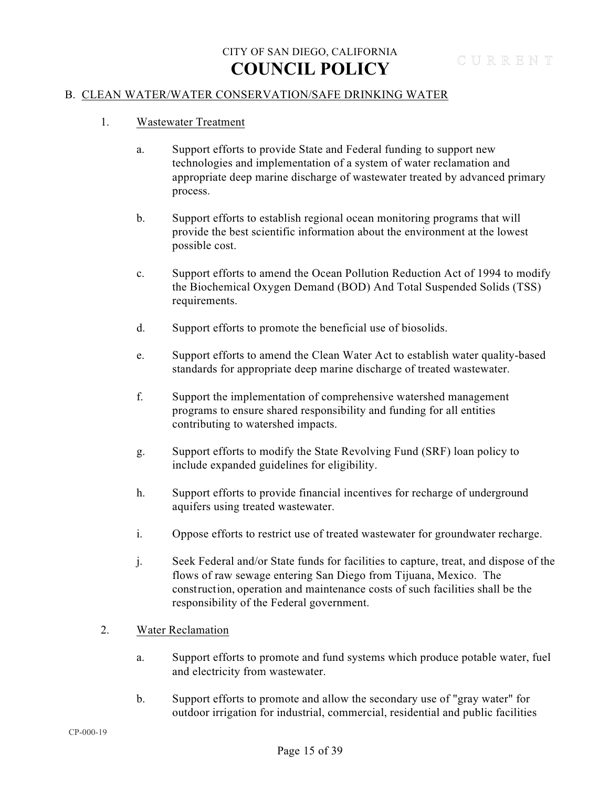### B. CLEAN WATER/WATER CONSERVATION/SAFE DRINKING WATER

- 1. Wastewater Treatment
	- a. Support efforts to provide State and Federal funding to support new technologies and implementation of a system of water reclamation and appropriate deep marine discharge of wastewater treated by advanced primary process.
	- b. Support efforts to establish regional ocean monitoring programs that will provide the best scientific information about the environment at the lowest possible cost.
	- c. Support efforts to amend the Ocean Pollution Reduction Act of 1994 to modify the Biochemical Oxygen Demand (BOD) And Total Suspended Solids (TSS) requirements.
	- d. Support efforts to promote the beneficial use of biosolids.
	- e. Support efforts to amend the Clean Water Act to establish water quality-based standards for appropriate deep marine discharge of treated wastewater.
	- f. Support the implementation of comprehensive watershed management programs to ensure shared responsibility and funding for all entities contributing to watershed impacts.
	- g. Support efforts to modify the State Revolving Fund (SRF) loan policy to include expanded guidelines for eligibility.
	- h. Support efforts to provide financial incentives for recharge of underground aquifers using treated wastewater.
	- i. Oppose efforts to restrict use of treated wastewater for groundwater recharge.
	- j. Seek Federal and/or State funds for facilities to capture, treat, and dispose of the flows of raw sewage entering San Diego from Tijuana, Mexico. The construction, operation and maintenance costs of such facilities shall be the responsibility of the Federal government.
- 2. Water Reclamation
	- a. Support efforts to promote and fund systems which produce potable water, fuel and electricity from wastewater.
	- b. Support efforts to promote and allow the secondary use of "gray water" for outdoor irrigation for industrial, commercial, residential and public facilities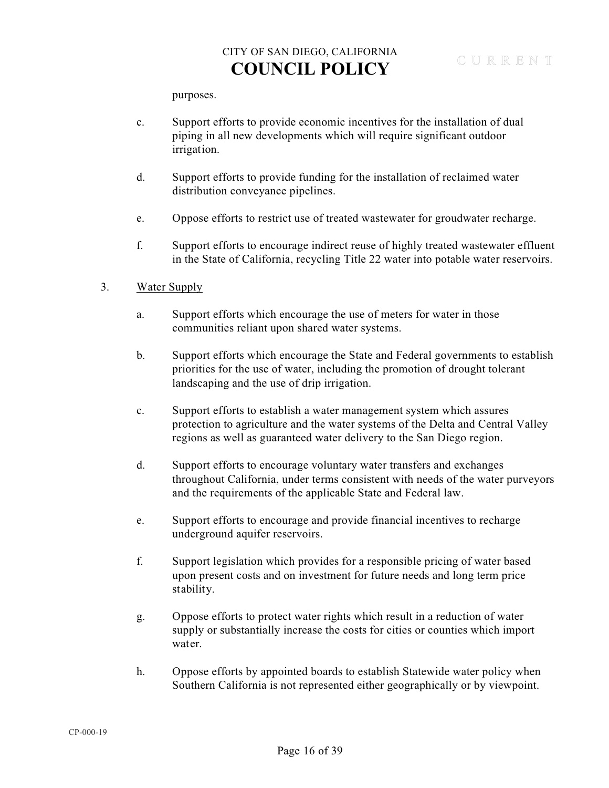purposes.

- c. Support efforts to provide economic incentives for the installation of dual piping in all new developments which will require significant outdoor irrigation.
- d. Support efforts to provide funding for the installation of reclaimed water distribution conveyance pipelines.
- e. Oppose efforts to restrict use of treated wastewater for groudwater recharge.
- f. Support efforts to encourage indirect reuse of highly treated wastewater effluent in the State of California, recycling Title 22 water into potable water reservoirs.

#### 3. Water Supply

- a. Support efforts which encourage the use of meters for water in those communities reliant upon shared water systems.
- b. Support efforts which encourage the State and Federal governments to establish priorities for the use of water, including the promotion of drought tolerant landscaping and the use of drip irrigation.
- c. Support efforts to establish a water management system which assures protection to agriculture and the water systems of the Delta and Central Valley regions as well as guaranteed water delivery to the San Diego region.
- d. Support efforts to encourage voluntary water transfers and exchanges throughout California, under terms consistent with needs of the water purveyors and the requirements of the applicable State and Federal law.
- e. Support efforts to encourage and provide financial incentives to recharge underground aquifer reservoirs.
- f. Support legislation which provides for a responsible pricing of water based upon present costs and on investment for future needs and long term price stability.
- g. Oppose efforts to protect water rights which result in a reduction of water supply or substantially increase the costs for cities or counties which import water.
- h. Oppose efforts by appointed boards to establish Statewide water policy when Southern California is not represented either geographically or by viewpoint.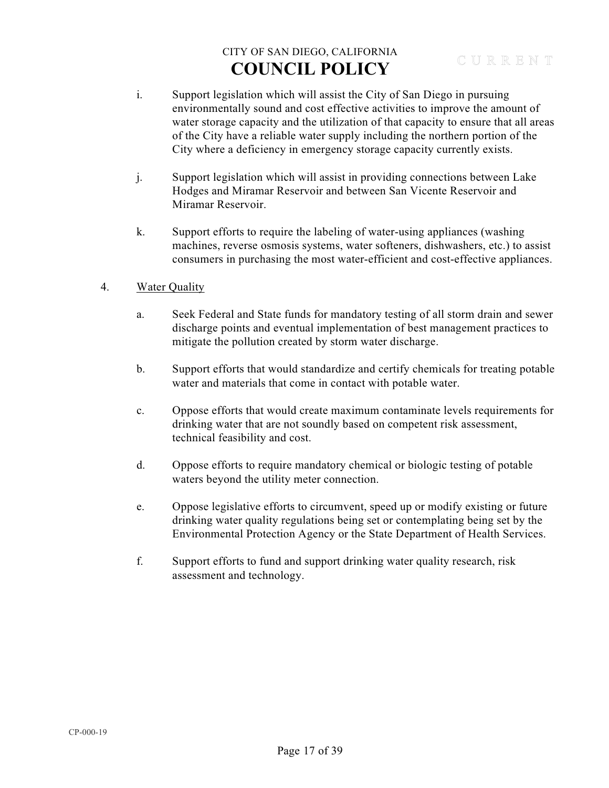- i. Support legislation which will assist the City of San Diego in pursuing environmentally sound and cost effective activities to improve the amount of water storage capacity and the utilization of that capacity to ensure that all areas of the City have a reliable water supply including the northern portion of the City where a deficiency in emergency storage capacity currently exists.
- j. Support legislation which will assist in providing connections between Lake Hodges and Miramar Reservoir and between San Vicente Reservoir and Miramar Reservoir.
- k. Support efforts to require the labeling of water-using appliances (washing machines, reverse osmosis systems, water softeners, dishwashers, etc.) to assist consumers in purchasing the most water-efficient and cost-effective appliances.
- 4. Water Quality
	- a. Seek Federal and State funds for mandatory testing of all storm drain and sewer discharge points and eventual implementation of best management practices to mitigate the pollution created by storm water discharge.
	- b. Support efforts that would standardize and certify chemicals for treating potable water and materials that come in contact with potable water.
	- c. Oppose efforts that would create maximum contaminate levels requirements for drinking water that are not soundly based on competent risk assessment, technical feasibility and cost.
	- d. Oppose efforts to require mandatory chemical or biologic testing of potable waters beyond the utility meter connection.
	- e. Oppose legislative efforts to circumvent, speed up or modify existing or future drinking water quality regulations being set or contemplating being set by the Environmental Protection Agency or the State Department of Health Services.
	- f. Support efforts to fund and support drinking water quality research, risk assessment and technology.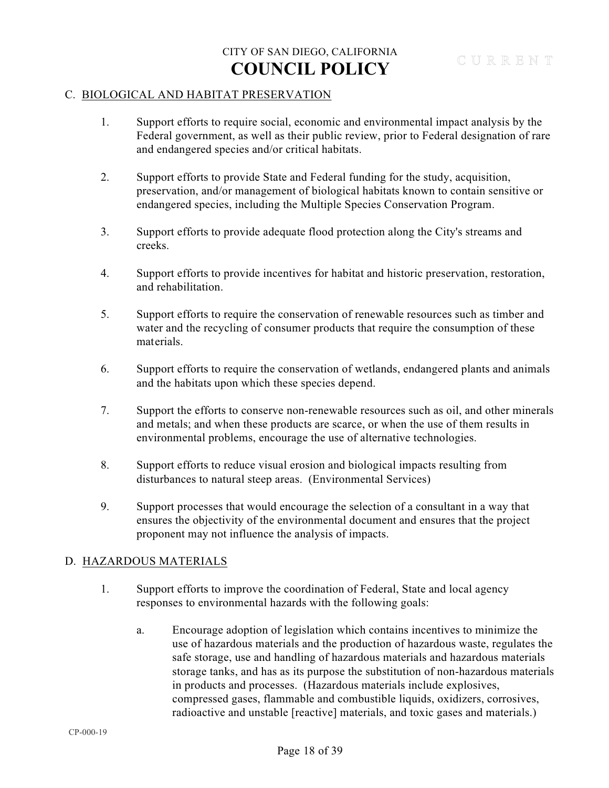#### C. BIOLOGICAL AND HABITAT PRESERVATION

- 1. Support efforts to require social, economic and environmental impact analysis by the Federal government, as well as their public review, prior to Federal designation of rare and endangered species and/or critical habitats.
- 2. Support efforts to provide State and Federal funding for the study, acquisition, preservation, and/or management of biological habitats known to contain sensitive or endangered species, including the Multiple Species Conservation Program.
- 3. Support efforts to provide adequate flood protection along the City's streams and creeks.
- 4. Support efforts to provide incentives for habitat and historic preservation, restoration, and rehabilitation.
- 5. Support efforts to require the conservation of renewable resources such as timber and water and the recycling of consumer products that require the consumption of these materials.
- 6. Support efforts to require the conservation of wetlands, endangered plants and animals and the habitats upon which these species depend.
- 7. Support the efforts to conserve non-renewable resources such as oil, and other minerals and metals; and when these products are scarce, or when the use of them results in environmental problems, encourage the use of alternative technologies.
- 8. Support efforts to reduce visual erosion and biological impacts resulting from disturbances to natural steep areas. (Environmental Services)
- 9. Support processes that would encourage the selection of a consultant in a way that ensures the objectivity of the environmental document and ensures that the project proponent may not influence the analysis of impacts.

### D. HAZARDOUS MATERIALS

- 1. Support efforts to improve the coordination of Federal, State and local agency responses to environmental hazards with the following goals:
	- a. Encourage adoption of legislation which contains incentives to minimize the use of hazardous materials and the production of hazardous waste, regulates the safe storage, use and handling of hazardous materials and hazardous materials storage tanks, and has as its purpose the substitution of non-hazardous materials in products and processes. (Hazardous materials include explosives, compressed gases, flammable and combustible liquids, oxidizers, corrosives, radioactive and unstable [reactive] materials, and toxic gases and materials.)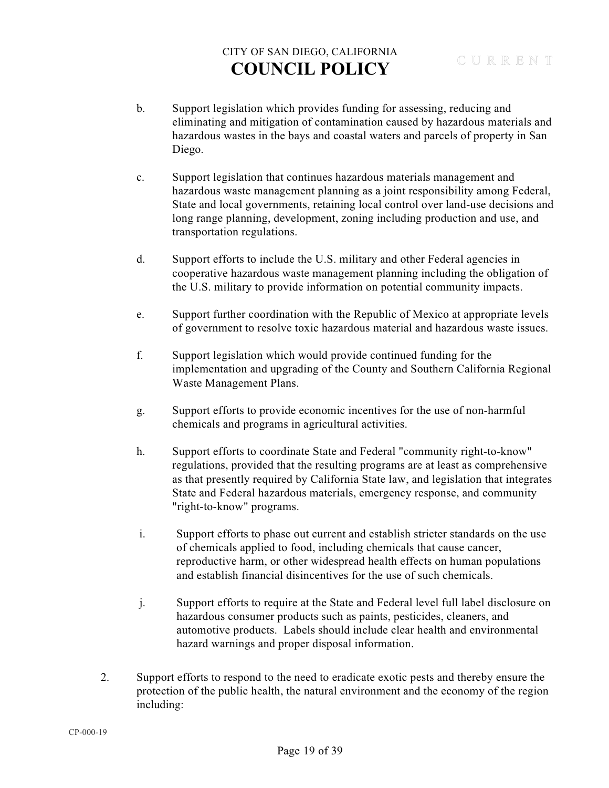- b. Support legislation which provides funding for assessing, reducing and eliminating and mitigation of contamination caused by hazardous materials and hazardous wastes in the bays and coastal waters and parcels of property in San Diego.
- c. Support legislation that continues hazardous materials management and hazardous waste management planning as a joint responsibility among Federal, State and local governments, retaining local control over land-use decisions and long range planning, development, zoning including production and use, and transportation regulations.
- d. Support efforts to include the U.S. military and other Federal agencies in cooperative hazardous waste management planning including the obligation of the U.S. military to provide information on potential community impacts.
- e. Support further coordination with the Republic of Mexico at appropriate levels of government to resolve toxic hazardous material and hazardous waste issues.
- f. Support legislation which would provide continued funding for the implementation and upgrading of the County and Southern California Regional Waste Management Plans.
- g. Support efforts to provide economic incentives for the use of non-harmful chemicals and programs in agricultural activities.
- h. Support efforts to coordinate State and Federal "community right-to-know" regulations, provided that the resulting programs are at least as comprehensive as that presently required by California State law, and legislation that integrates State and Federal hazardous materials, emergency response, and community "right-to-know" programs.
- i. Support efforts to phase out current and establish stricter standards on the use of chemicals applied to food, including chemicals that cause cancer, reproductive harm, or other widespread health effects on human populations and establish financial disincentives for the use of such chemicals.
- j. Support efforts to require at the State and Federal level full label disclosure on hazardous consumer products such as paints, pesticides, cleaners, and automotive products. Labels should include clear health and environmental hazard warnings and proper disposal information.
- 2. Support efforts to respond to the need to eradicate exotic pests and thereby ensure the protection of the public health, the natural environment and the economy of the region including: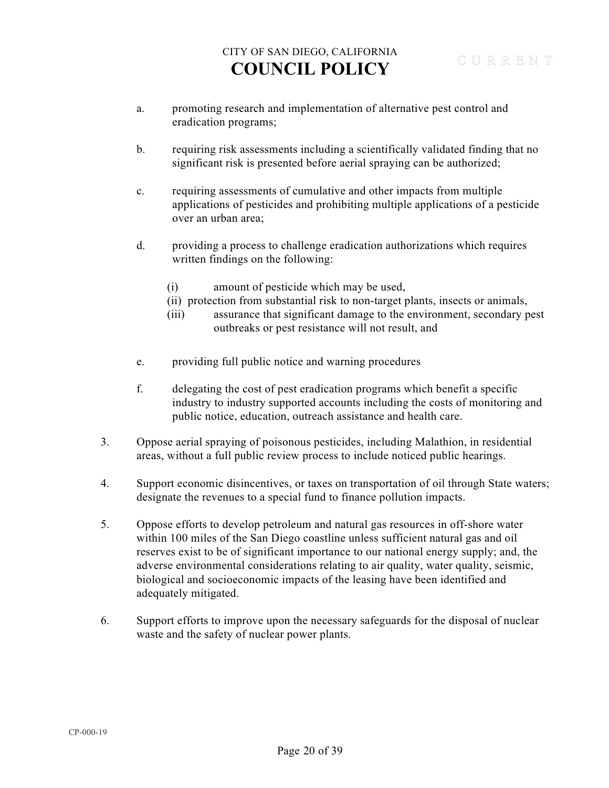- a. promoting research and implementation of alternative pest control and eradication programs;
- b. requiring risk assessments including a scientifically validated finding that no significant risk is presented before aerial spraying can be authorized;
- c. requiring assessments of cumulative and other impacts from multiple applications of pesticides and prohibiting multiple applications of a pesticide over an urban area;
- d. providing a process to challenge eradication authorizations which requires written findings on the following:
	- (i) amount of pesticide which may be used,
	- (ii) protection from substantial risk to non-target plants, insects or animals,
	- (iii) assurance that significant damage to the environment, secondary pest outbreaks or pest resistance will not result, and
- e. providing full public notice and warning procedures
- f. delegating the cost of pest eradication programs which benefit a specific industry to industry supported accounts including the costs of monitoring and public notice, education, outreach assistance and health care.
- 3. Oppose aerial spraying of poisonous pesticides, including Malathion, in residential areas, without a full public review process to include noticed public hearings.
- 4. Support economic disincentives, or taxes on transportation of oil through State waters; designate the revenues to a special fund to finance pollution impacts.
- 5. Oppose efforts to develop petroleum and natural gas resources in off-shore water within 100 miles of the San Diego coastline unless sufficient natural gas and oil reserves exist to be of significant importance to our national energy supply; and, the adverse environmental considerations relating to air quality, water quality, seismic, biological and socioeconomic impacts of the leasing have been identified and adequately mitigated.
- 6. Support efforts to improve upon the necessary safeguards for the disposal of nuclear waste and the safety of nuclear power plants.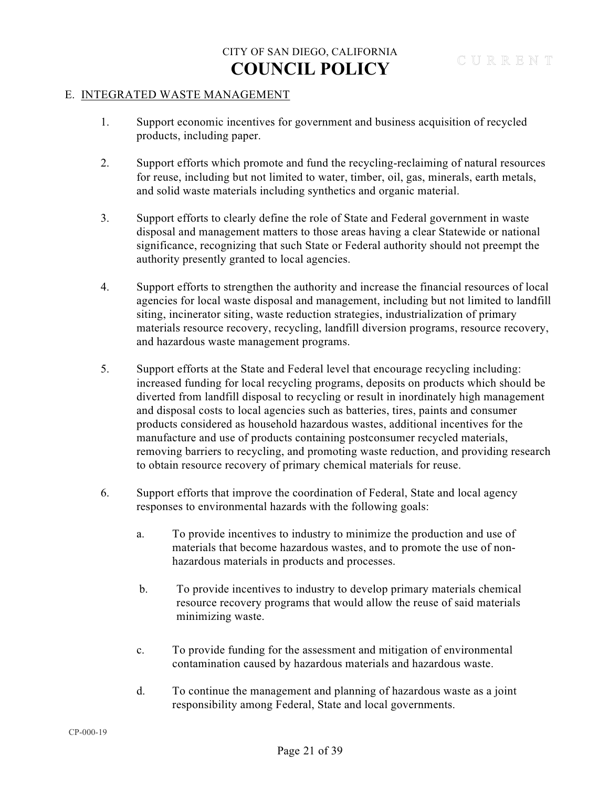#### E. INTEGRATED WASTE MANAGEMENT

- 1. Support economic incentives for government and business acquisition of recycled products, including paper.
- 2. Support efforts which promote and fund the recycling-reclaiming of natural resources for reuse, including but not limited to water, timber, oil, gas, minerals, earth metals, and solid waste materials including synthetics and organic material.
- 3. Support efforts to clearly define the role of State and Federal government in waste disposal and management matters to those areas having a clear Statewide or national significance, recognizing that such State or Federal authority should not preempt the authority presently granted to local agencies.
- 4. Support efforts to strengthen the authority and increase the financial resources of local agencies for local waste disposal and management, including but not limited to landfill siting, incinerator siting, waste reduction strategies, industrialization of primary materials resource recovery, recycling, landfill diversion programs, resource recovery, and hazardous waste management programs.
- 5. Support efforts at the State and Federal level that encourage recycling including: increased funding for local recycling programs, deposits on products which should be diverted from landfill disposal to recycling or result in inordinately high management and disposal costs to local agencies such as batteries, tires, paints and consumer products considered as household hazardous wastes, additional incentives for the manufacture and use of products containing postconsumer recycled materials, removing barriers to recycling, and promoting waste reduction, and providing research to obtain resource recovery of primary chemical materials for reuse.
- 6. Support efforts that improve the coordination of Federal, State and local agency responses to environmental hazards with the following goals:
	- a. To provide incentives to industry to minimize the production and use of materials that become hazardous wastes, and to promote the use of nonhazardous materials in products and processes.
	- b. To provide incentives to industry to develop primary materials chemical resource recovery programs that would allow the reuse of said materials minimizing waste.
	- c. To provide funding for the assessment and mitigation of environmental contamination caused by hazardous materials and hazardous waste.
	- d. To continue the management and planning of hazardous waste as a joint responsibility among Federal, State and local governments.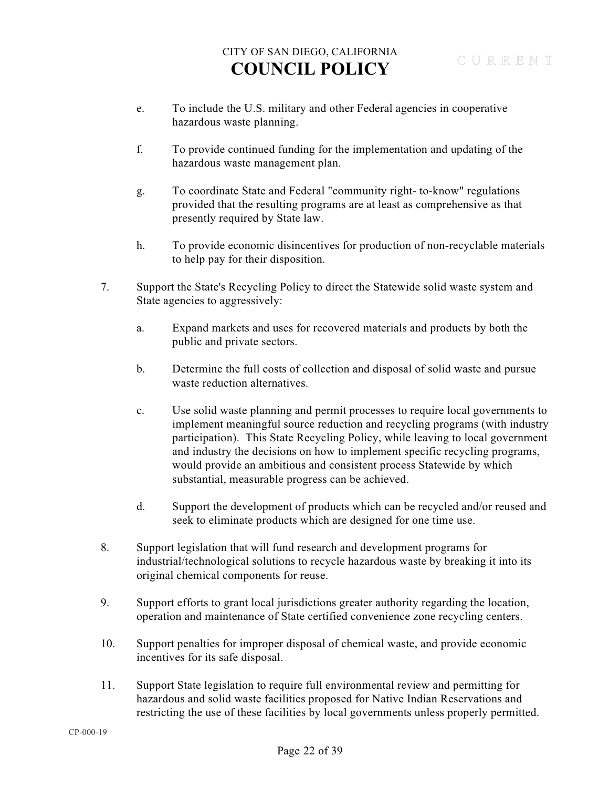- e. To include the U.S. military and other Federal agencies in cooperative hazardous waste planning.
- f. To provide continued funding for the implementation and updating of the hazardous waste management plan.
- g. To coordinate State and Federal "community right- to-know" regulations provided that the resulting programs are at least as comprehensive as that presently required by State law.
- h. To provide economic disincentives for production of non-recyclable materials to help pay for their disposition.
- 7. Support the State's Recycling Policy to direct the Statewide solid waste system and State agencies to aggressively:
	- a. Expand markets and uses for recovered materials and products by both the public and private sectors.
	- b. Determine the full costs of collection and disposal of solid waste and pursue waste reduction alternatives.
	- c. Use solid waste planning and permit processes to require local governments to implement meaningful source reduction and recycling programs (with industry participation). This State Recycling Policy, while leaving to local government and industry the decisions on how to implement specific recycling programs, would provide an ambitious and consistent process Statewide by which substantial, measurable progress can be achieved.
	- d. Support the development of products which can be recycled and/or reused and seek to eliminate products which are designed for one time use.
- 8. Support legislation that will fund research and development programs for industrial/technological solutions to recycle hazardous waste by breaking it into its original chemical components for reuse.
- 9. Support efforts to grant local jurisdictions greater authority regarding the location, operation and maintenance of State certified convenience zone recycling centers.
- 10. Support penalties for improper disposal of chemical waste, and provide economic incentives for its safe disposal.
- 11. Support State legislation to require full environmental review and permitting for hazardous and solid waste facilities proposed for Native Indian Reservations and restricting the use of these facilities by local governments unless properly permitted.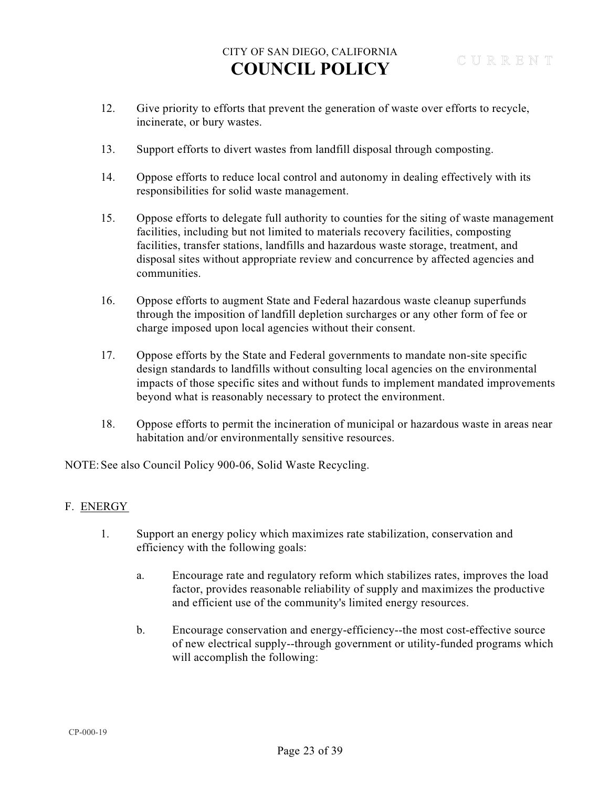- 12. Give priority to efforts that prevent the generation of waste over efforts to recycle, incinerate, or bury wastes.
- 13. Support efforts to divert wastes from landfill disposal through composting.
- 14. Oppose efforts to reduce local control and autonomy in dealing effectively with its responsibilities for solid waste management.
- 15. Oppose efforts to delegate full authority to counties for the siting of waste management facilities, including but not limited to materials recovery facilities, composting facilities, transfer stations, landfills and hazardous waste storage, treatment, and disposal sites without appropriate review and concurrence by affected agencies and communities.
- 16. Oppose efforts to augment State and Federal hazardous waste cleanup superfunds through the imposition of landfill depletion surcharges or any other form of fee or charge imposed upon local agencies without their consent.
- 17. Oppose efforts by the State and Federal governments to mandate non-site specific design standards to landfills without consulting local agencies on the environmental impacts of those specific sites and without funds to implement mandated improvements beyond what is reasonably necessary to protect the environment.
- 18. Oppose efforts to permit the incineration of municipal or hazardous waste in areas near habitation and/or environmentally sensitive resources.

NOTE: See also Council Policy 900-06, Solid Waste Recycling.

### F. ENERGY

- 1. Support an energy policy which maximizes rate stabilization, conservation and efficiency with the following goals:
	- a. Encourage rate and regulatory reform which stabilizes rates, improves the load factor, provides reasonable reliability of supply and maximizes the productive and efficient use of the community's limited energy resources.
	- b. Encourage conservation and energy-efficiency--the most cost-effective source of new electrical supply--through government or utility-funded programs which will accomplish the following: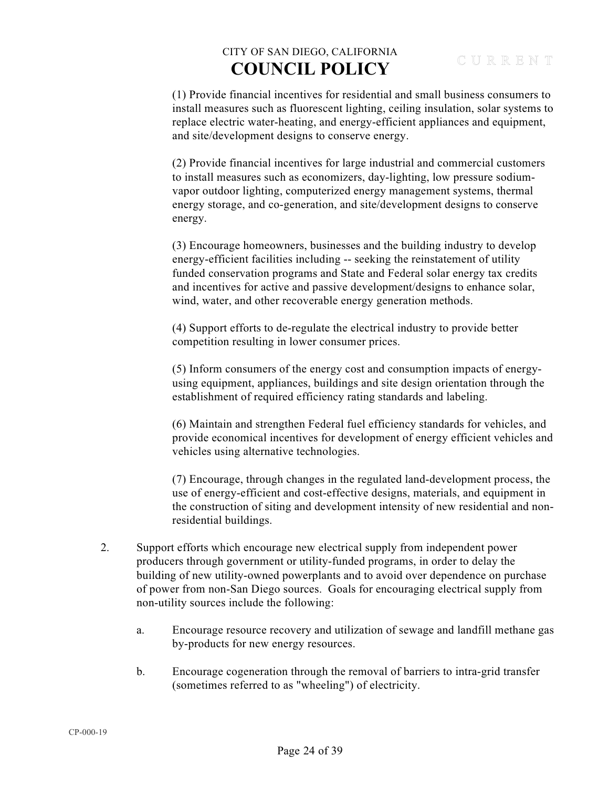(1) Provide financial incentives for residential and small business consumers to install measures such as fluorescent lighting, ceiling insulation, solar systems to replace electric water-heating, and energy-efficient appliances and equipment, and site/development designs to conserve energy.

(2) Provide financial incentives for large industrial and commercial customers to install measures such as economizers, day-lighting, low pressure sodiumvapor outdoor lighting, computerized energy management systems, thermal energy storage, and co-generation, and site/development designs to conserve energy.

(3) Encourage homeowners, businesses and the building industry to develop energy-efficient facilities including -- seeking the reinstatement of utility funded conservation programs and State and Federal solar energy tax credits and incentives for active and passive development/designs to enhance solar, wind, water, and other recoverable energy generation methods.

(4) Support efforts to de-regulate the electrical industry to provide better competition resulting in lower consumer prices.

(5) Inform consumers of the energy cost and consumption impacts of energyusing equipment, appliances, buildings and site design orientation through the establishment of required efficiency rating standards and labeling.

(6) Maintain and strengthen Federal fuel efficiency standards for vehicles, and provide economical incentives for development of energy efficient vehicles and vehicles using alternative technologies.

(7) Encourage, through changes in the regulated land-development process, the use of energy-efficient and cost-effective designs, materials, and equipment in the construction of siting and development intensity of new residential and nonresidential buildings.

- 2. Support efforts which encourage new electrical supply from independent power producers through government or utility-funded programs, in order to delay the building of new utility-owned powerplants and to avoid over dependence on purchase of power from non-San Diego sources. Goals for encouraging electrical supply from non-utility sources include the following:
	- a. Encourage resource recovery and utilization of sewage and landfill methane gas by-products for new energy resources.
	- b. Encourage cogeneration through the removal of barriers to intra-grid transfer (sometimes referred to as "wheeling") of electricity.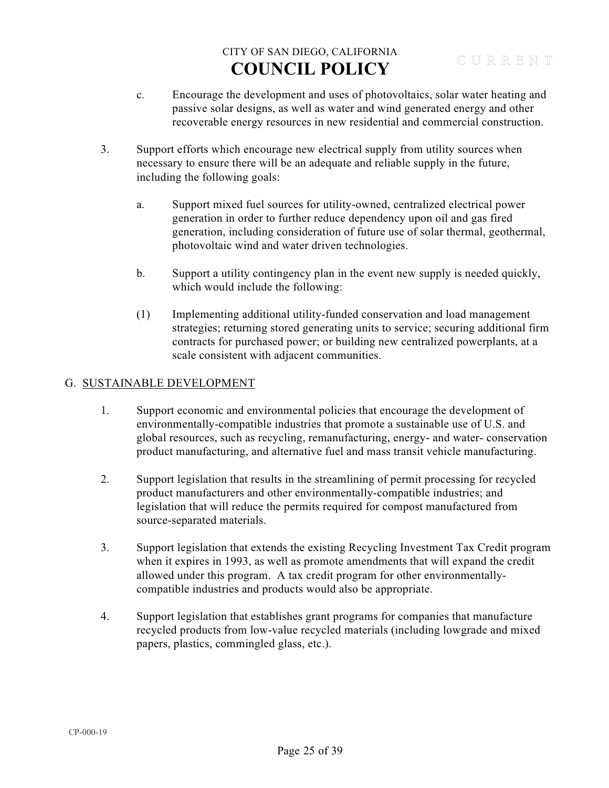- c. Encourage the development and uses of photovoltaics, solar water heating and passive solar designs, as well as water and wind generated energy and other recoverable energy resources in new residential and commercial construction.
- 3. Support efforts which encourage new electrical supply from utility sources when necessary to ensure there will be an adequate and reliable supply in the future, including the following goals:
	- a. Support mixed fuel sources for utility-owned, centralized electrical power generation in order to further reduce dependency upon oil and gas fired generation, including consideration of future use of solar thermal, geothermal, photovoltaic wind and water driven technologies.
	- b. Support a utility contingency plan in the event new supply is needed quickly, which would include the following:
	- (1) Implementing additional utility-funded conservation and load management strategies; returning stored generating units to service; securing additional firm contracts for purchased power; or building new centralized powerplants, at a scale consistent with adjacent communities.

### G. SUSTAINABLE DEVELOPMENT

- 1. Support economic and environmental policies that encourage the development of environmentally-compatible industries that promote a sustainable use of U.S. and global resources, such as recycling, remanufacturing, energy- and water- conservation product manufacturing, and alternative fuel and mass transit vehicle manufacturing.
- 2. Support legislation that results in the streamlining of permit processing for recycled product manufacturers and other environmentally-compatible industries; and legislation that will reduce the permits required for compost manufactured from source-separated materials.
- 3. Support legislation that extends the existing Recycling Investment Tax Credit program when it expires in 1993, as well as promote amendments that will expand the credit allowed under this program. A tax credit program for other environmentallycompatible industries and products would also be appropriate.
- 4. Support legislation that establishes grant programs for companies that manufacture recycled products from low-value recycled materials (including lowgrade and mixed papers, plastics, commingled glass, etc.).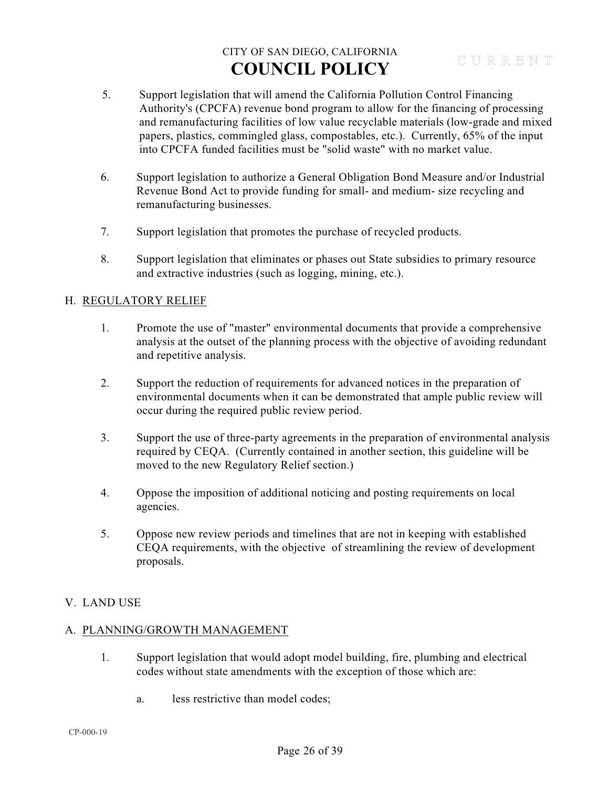- 5. Support legislation that will amend the California Pollution Control Financing Authority's (CPCFA) revenue bond program to allow for the financing of processing and remanufacturing facilities of low value recyclable materials (low-grade and mixed papers, plastics, commingled glass, compostables, etc.). Currently, 65% of the input into CPCFA funded facilities must be "solid waste" with no market value.
- 6. Support legislation to authorize a General Obligation Bond Measure and/or Industrial Revenue Bond Act to provide funding for small- and medium- size recycling and remanufacturing businesses.
- 7. Support legislation that promotes the purchase of recycled products.
- 8. Support legislation that eliminates or phases out State subsidies to primary resource and extractive industries (such as logging, mining, etc.).

### H. REGULATORY RELIEF

- 1. Promote the use of "master" environmental documents that provide a comprehensive analysis at the outset of the planning process with the objective of avoiding redundant and repetitive analysis.
- 2. Support the reduction of requirements for advanced notices in the preparation of environmental documents when it can be demonstrated that ample public review will occur during the required public review period.
- 3. Support the use of three-party agreements in the preparation of environmental analysis required by CEQA. (Currently contained in another section, this guideline will be moved to the new Regulatory Relief section.)
- 4. Oppose the imposition of additional noticing and posting requirements on local agencies.
- 5. Oppose new review periods and timelines that are not in keeping with established CEQA requirements, with the objective of streamlining the review of development proposals.

### V. LAND USE

### A. PLANNING/GROWTH MANAGEMENT

- 1. Support legislation that would adopt model building, fire, plumbing and electrical codes without state amendments with the exception of those which are:
	- a. less restrictive than model codes;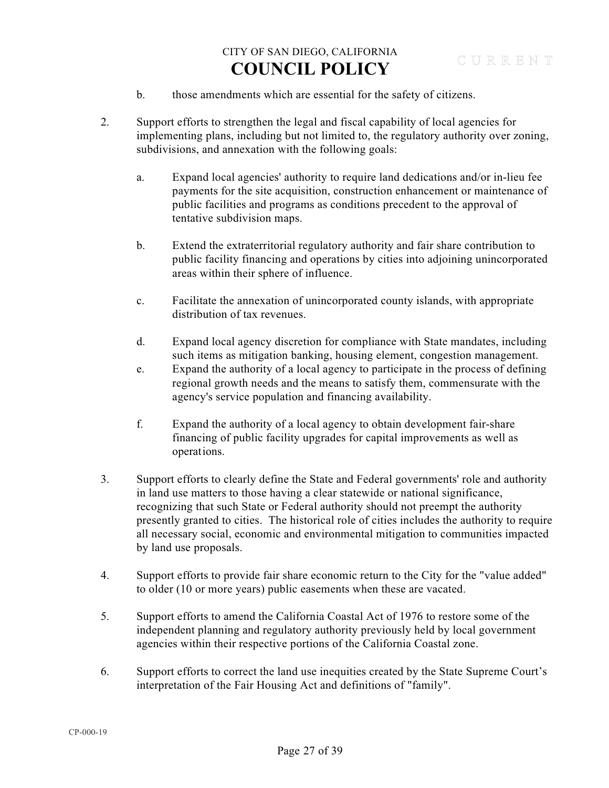- b. those amendments which are essential for the safety of citizens.
- 2. Support efforts to strengthen the legal and fiscal capability of local agencies for implementing plans, including but not limited to, the regulatory authority over zoning, subdivisions, and annexation with the following goals:
	- a. Expand local agencies' authority to require land dedications and/or in-lieu fee payments for the site acquisition, construction enhancement or maintenance of public facilities and programs as conditions precedent to the approval of tentative subdivision maps.
	- b. Extend the extraterritorial regulatory authority and fair share contribution to public facility financing and operations by cities into adjoining unincorporated areas within their sphere of influence.
	- c. Facilitate the annexation of unincorporated county islands, with appropriate distribution of tax revenues.
	- d. Expand local agency discretion for compliance with State mandates, including such items as mitigation banking, housing element, congestion management.
	- e. Expand the authority of a local agency to participate in the process of defining regional growth needs and the means to satisfy them, commensurate with the agency's service population and financing availability.
	- f. Expand the authority of a local agency to obtain development fair-share financing of public facility upgrades for capital improvements as well as operations.
- 3. Support efforts to clearly define the State and Federal governments' role and authority in land use matters to those having a clear statewide or national significance, recognizing that such State or Federal authority should not preempt the authority presently granted to cities. The historical role of cities includes the authority to require all necessary social, economic and environmental mitigation to communities impacted by land use proposals.
- 4. Support efforts to provide fair share economic return to the City for the "value added" to older (10 or more years) public easements when these are vacated.
- 5. Support efforts to amend the California Coastal Act of 1976 to restore some of the independent planning and regulatory authority previously held by local government agencies within their respective portions of the California Coastal zone.
- 6. Support efforts to correct the land use inequities created by the State Supreme Court's interpretation of the Fair Housing Act and definitions of "family".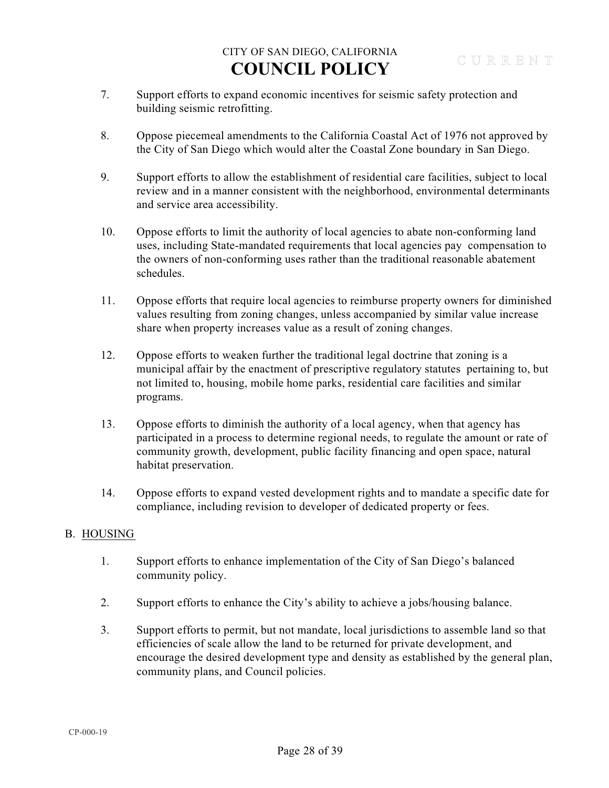- 7. Support efforts to expand economic incentives for seismic safety protection and building seismic retrofitting.
- 8. Oppose piecemeal amendments to the California Coastal Act of 1976 not approved by the City of San Diego which would alter the Coastal Zone boundary in San Diego.
- 9. Support efforts to allow the establishment of residential care facilities, subject to local review and in a manner consistent with the neighborhood, environmental determinants and service area accessibility.
- 10. Oppose efforts to limit the authority of local agencies to abate non-conforming land uses, including State-mandated requirements that local agencies pay compensation to the owners of non-conforming uses rather than the traditional reasonable abatement schedules.
- 11. Oppose efforts that require local agencies to reimburse property owners for diminished values resulting from zoning changes, unless accompanied by similar value increase share when property increases value as a result of zoning changes.
- 12. Oppose efforts to weaken further the traditional legal doctrine that zoning is a municipal affair by the enactment of prescriptive regulatory statutes pertaining to, but not limited to, housing, mobile home parks, residential care facilities and similar programs.
- 13. Oppose efforts to diminish the authority of a local agency, when that agency has participated in a process to determine regional needs, to regulate the amount or rate of community growth, development, public facility financing and open space, natural habitat preservation.
- 14. Oppose efforts to expand vested development rights and to mandate a specific date for compliance, including revision to developer of dedicated property or fees.

### B. HOUSING

- 1. Support efforts to enhance implementation of the City of San Diego's balanced community policy.
- 2. Support efforts to enhance the City's ability to achieve a jobs/housing balance.
- 3. Support efforts to permit, but not mandate, local jurisdictions to assemble land so that efficiencies of scale allow the land to be returned for private development, and encourage the desired development type and density as established by the general plan, community plans, and Council policies.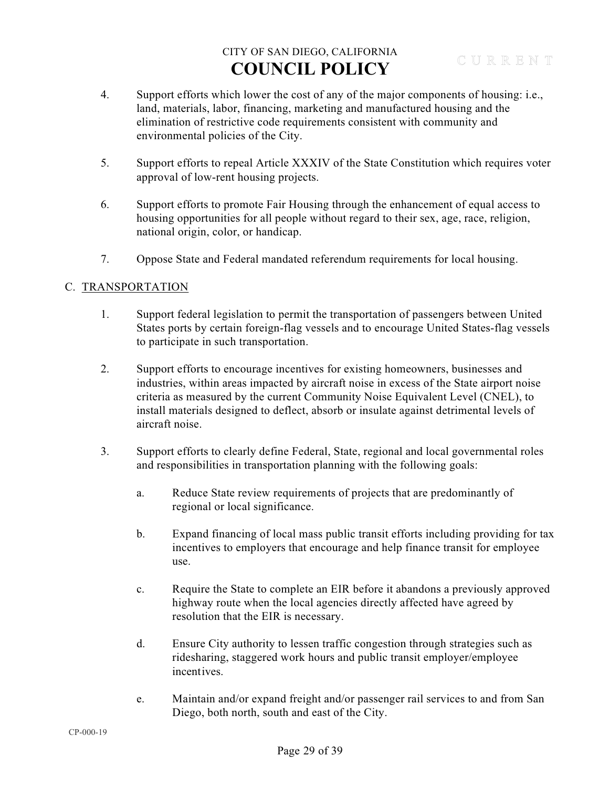- 4. Support efforts which lower the cost of any of the major components of housing: i.e., land, materials, labor, financing, marketing and manufactured housing and the elimination of restrictive code requirements consistent with community and environmental policies of the City.
- 5. Support efforts to repeal Article XXXIV of the State Constitution which requires voter approval of low-rent housing projects.
- 6. Support efforts to promote Fair Housing through the enhancement of equal access to housing opportunities for all people without regard to their sex, age, race, religion, national origin, color, or handicap.
- 7. Oppose State and Federal mandated referendum requirements for local housing.

### C. TRANSPORTATION

- 1. Support federal legislation to permit the transportation of passengers between United States ports by certain foreign-flag vessels and to encourage United States-flag vessels to participate in such transportation.
- 2. Support efforts to encourage incentives for existing homeowners, businesses and industries, within areas impacted by aircraft noise in excess of the State airport noise criteria as measured by the current Community Noise Equivalent Level (CNEL), to install materials designed to deflect, absorb or insulate against detrimental levels of aircraft noise.
- 3. Support efforts to clearly define Federal, State, regional and local governmental roles and responsibilities in transportation planning with the following goals:
	- a. Reduce State review requirements of projects that are predominantly of regional or local significance.
	- b. Expand financing of local mass public transit efforts including providing for tax incentives to employers that encourage and help finance transit for employee use.
	- c. Require the State to complete an EIR before it abandons a previously approved highway route when the local agencies directly affected have agreed by resolution that the EIR is necessary.
	- d. Ensure City authority to lessen traffic congestion through strategies such as ridesharing, staggered work hours and public transit employer/employee incentives.
	- e. Maintain and/or expand freight and/or passenger rail services to and from San Diego, both north, south and east of the City.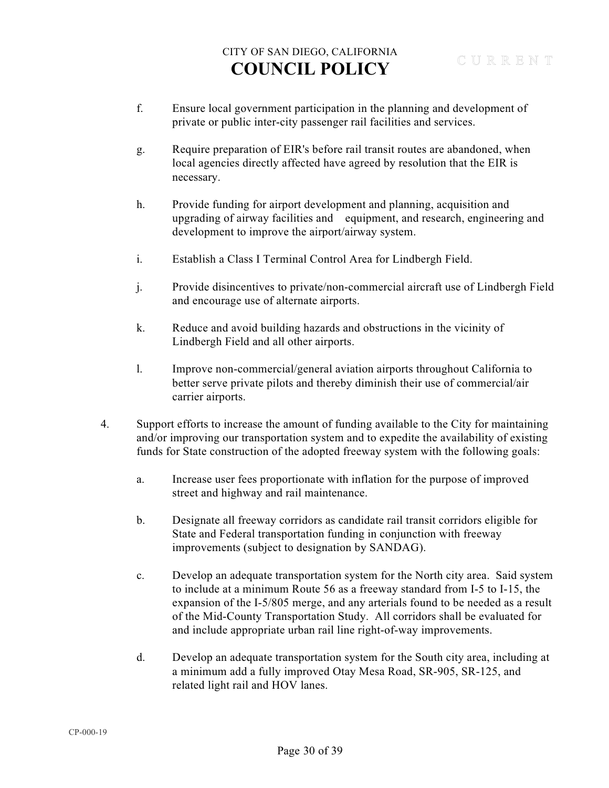- f. Ensure local government participation in the planning and development of private or public inter-city passenger rail facilities and services.
- g. Require preparation of EIR's before rail transit routes are abandoned, when local agencies directly affected have agreed by resolution that the EIR is necessary.
- h. Provide funding for airport development and planning, acquisition and upgrading of airway facilities and equipment, and research, engineering and development to improve the airport/airway system.
- i. Establish a Class I Terminal Control Area for Lindbergh Field.
- j. Provide disincentives to private/non-commercial aircraft use of Lindbergh Field and encourage use of alternate airports.
- k. Reduce and avoid building hazards and obstructions in the vicinity of Lindbergh Field and all other airports.
- l. Improve non-commercial/general aviation airports throughout California to better serve private pilots and thereby diminish their use of commercial/air carrier airports.
- 4. Support efforts to increase the amount of funding available to the City for maintaining and/or improving our transportation system and to expedite the availability of existing funds for State construction of the adopted freeway system with the following goals:
	- a. Increase user fees proportionate with inflation for the purpose of improved street and highway and rail maintenance.
	- b. Designate all freeway corridors as candidate rail transit corridors eligible for State and Federal transportation funding in conjunction with freeway improvements (subject to designation by SANDAG).
	- c. Develop an adequate transportation system for the North city area. Said system to include at a minimum Route 56 as a freeway standard from I-5 to I-15, the expansion of the I-5/805 merge, and any arterials found to be needed as a result of the Mid-County Transportation Study. All corridors shall be evaluated for and include appropriate urban rail line right-of-way improvements.
	- d. Develop an adequate transportation system for the South city area, including at a minimum add a fully improved Otay Mesa Road, SR-905, SR-125, and related light rail and HOV lanes.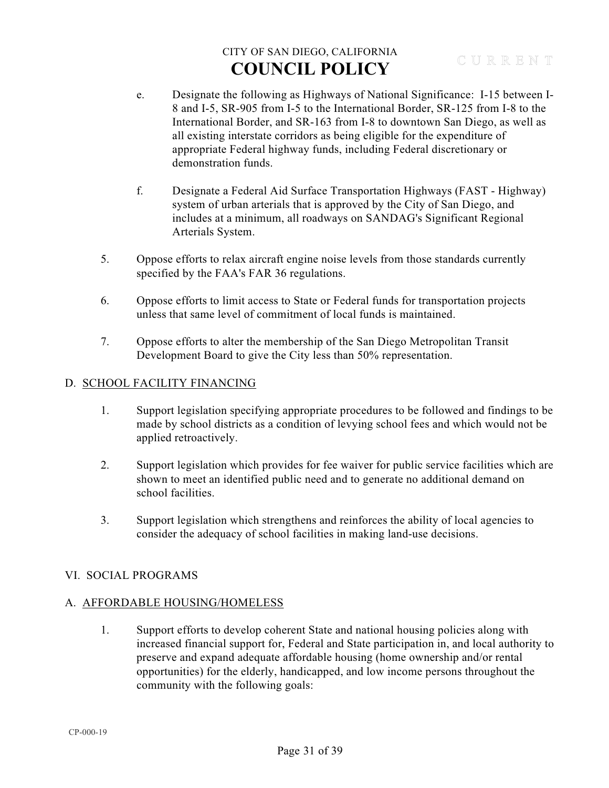- e. Designate the following as Highways of National Significance: I-15 between I-8 and I-5, SR-905 from I-5 to the International Border, SR-125 from I-8 to the International Border, and SR-163 from I-8 to downtown San Diego, as well as all existing interstate corridors as being eligible for the expenditure of appropriate Federal highway funds, including Federal discretionary or demonstration funds.
- f. Designate a Federal Aid Surface Transportation Highways (FAST Highway) system of urban arterials that is approved by the City of San Diego, and includes at a minimum, all roadways on SANDAG's Significant Regional Arterials System.
- 5. Oppose efforts to relax aircraft engine noise levels from those standards currently specified by the FAA's FAR 36 regulations.
- 6. Oppose efforts to limit access to State or Federal funds for transportation projects unless that same level of commitment of local funds is maintained.
- 7. Oppose efforts to alter the membership of the San Diego Metropolitan Transit Development Board to give the City less than 50% representation.

### D. SCHOOL FACILITY FINANCING

- 1. Support legislation specifying appropriate procedures to be followed and findings to be made by school districts as a condition of levying school fees and which would not be applied retroactively.
- 2. Support legislation which provides for fee waiver for public service facilities which are shown to meet an identified public need and to generate no additional demand on school facilities.
- 3. Support legislation which strengthens and reinforces the ability of local agencies to consider the adequacy of school facilities in making land-use decisions.

### VI. SOCIAL PROGRAMS

### A. AFFORDABLE HOUSING/HOMELESS

1. Support efforts to develop coherent State and national housing policies along with increased financial support for, Federal and State participation in, and local authority to preserve and expand adequate affordable housing (home ownership and/or rental opportunities) for the elderly, handicapped, and low income persons throughout the community with the following goals: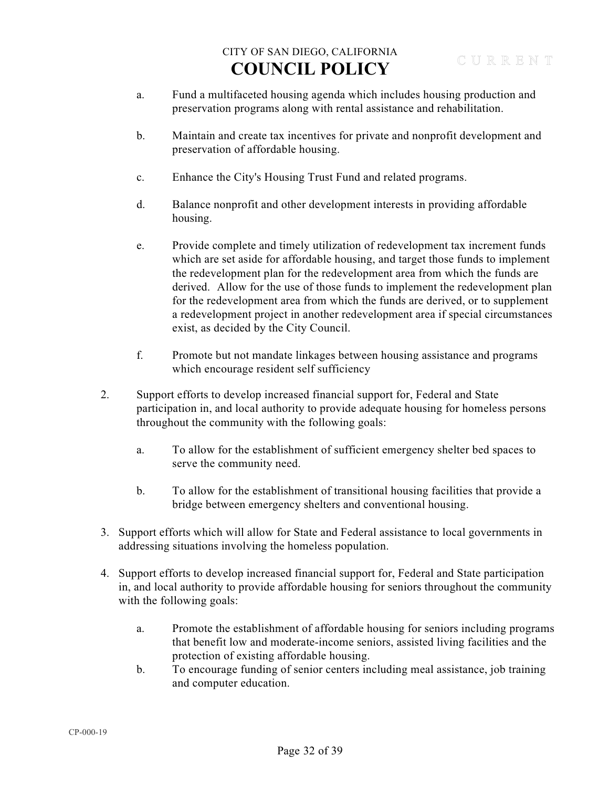- a. Fund a multifaceted housing agenda which includes housing production and preservation programs along with rental assistance and rehabilitation.
- b. Maintain and create tax incentives for private and nonprofit development and preservation of affordable housing.
- c. Enhance the City's Housing Trust Fund and related programs.
- d. Balance nonprofit and other development interests in providing affordable housing.
- e. Provide complete and timely utilization of redevelopment tax increment funds which are set aside for affordable housing, and target those funds to implement the redevelopment plan for the redevelopment area from which the funds are derived. Allow for the use of those funds to implement the redevelopment plan for the redevelopment area from which the funds are derived, or to supplement a redevelopment project in another redevelopment area if special circumstances exist, as decided by the City Council.
- f. Promote but not mandate linkages between housing assistance and programs which encourage resident self sufficiency
- 2. Support efforts to develop increased financial support for, Federal and State participation in, and local authority to provide adequate housing for homeless persons throughout the community with the following goals:
	- a. To allow for the establishment of sufficient emergency shelter bed spaces to serve the community need.
	- b. To allow for the establishment of transitional housing facilities that provide a bridge between emergency shelters and conventional housing.
- 3. Support efforts which will allow for State and Federal assistance to local governments in addressing situations involving the homeless population.
- 4. Support efforts to develop increased financial support for, Federal and State participation in, and local authority to provide affordable housing for seniors throughout the community with the following goals:
	- a. Promote the establishment of affordable housing for seniors including programs that benefit low and moderate-income seniors, assisted living facilities and the protection of existing affordable housing.
	- b. To encourage funding of senior centers including meal assistance, job training and computer education.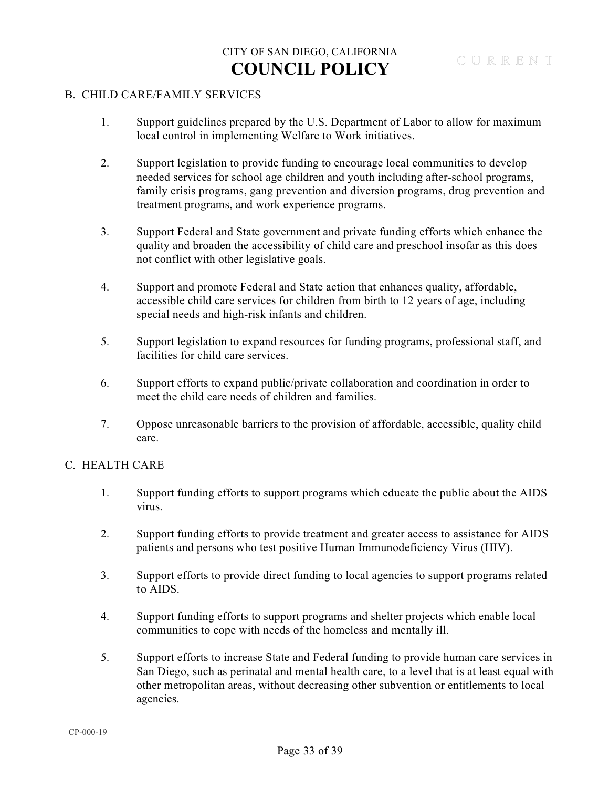#### B. CHILD CARE/FAMILY SERVICES

- 1. Support guidelines prepared by the U.S. Department of Labor to allow for maximum local control in implementing Welfare to Work initiatives.
- 2. Support legislation to provide funding to encourage local communities to develop needed services for school age children and youth including after-school programs, family crisis programs, gang prevention and diversion programs, drug prevention and treatment programs, and work experience programs.
- 3. Support Federal and State government and private funding efforts which enhance the quality and broaden the accessibility of child care and preschool insofar as this does not conflict with other legislative goals.
- 4. Support and promote Federal and State action that enhances quality, affordable, accessible child care services for children from birth to 12 years of age, including special needs and high-risk infants and children.
- 5. Support legislation to expand resources for funding programs, professional staff, and facilities for child care services.
- 6. Support efforts to expand public/private collaboration and coordination in order to meet the child care needs of children and families.
- 7. Oppose unreasonable barriers to the provision of affordable, accessible, quality child care.

### C. HEALTH CARE

- 1. Support funding efforts to support programs which educate the public about the AIDS virus.
- 2. Support funding efforts to provide treatment and greater access to assistance for AIDS patients and persons who test positive Human Immunodeficiency Virus (HIV).
- 3. Support efforts to provide direct funding to local agencies to support programs related to AIDS.
- 4. Support funding efforts to support programs and shelter projects which enable local communities to cope with needs of the homeless and mentally ill.
- 5. Support efforts to increase State and Federal funding to provide human care services in San Diego, such as perinatal and mental health care, to a level that is at least equal with other metropolitan areas, without decreasing other subvention or entitlements to local agencies.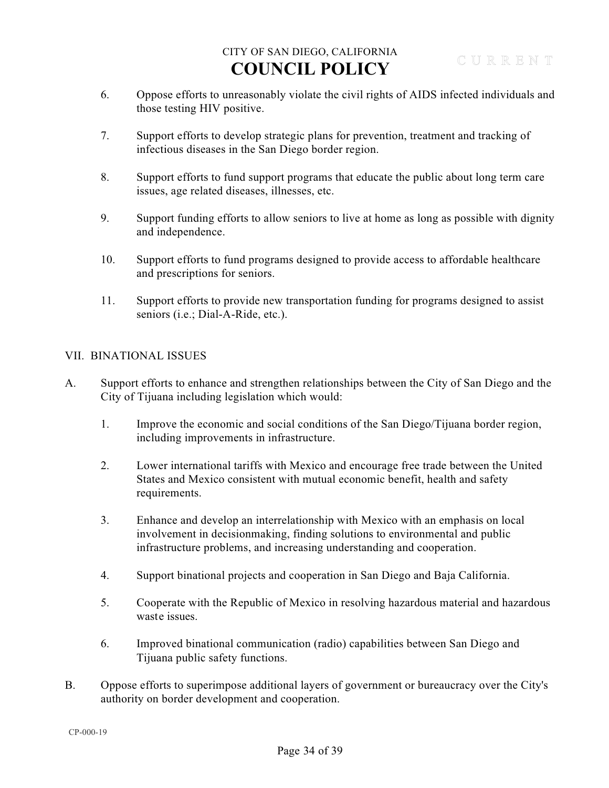- 6. Oppose efforts to unreasonably violate the civil rights of AIDS infected individuals and those testing HIV positive.
- 7. Support efforts to develop strategic plans for prevention, treatment and tracking of infectious diseases in the San Diego border region.
- 8. Support efforts to fund support programs that educate the public about long term care issues, age related diseases, illnesses, etc.
- 9. Support funding efforts to allow seniors to live at home as long as possible with dignity and independence.
- 10. Support efforts to fund programs designed to provide access to affordable healthcare and prescriptions for seniors.
- 11. Support efforts to provide new transportation funding for programs designed to assist seniors (i.e.; Dial-A-Ride, etc.).

### VII. BINATIONAL ISSUES

- A. Support efforts to enhance and strengthen relationships between the City of San Diego and the City of Tijuana including legislation which would:
	- 1. Improve the economic and social conditions of the San Diego/Tijuana border region, including improvements in infrastructure.
	- 2. Lower international tariffs with Mexico and encourage free trade between the United States and Mexico consistent with mutual economic benefit, health and safety requirements.
	- 3. Enhance and develop an interrelationship with Mexico with an emphasis on local involvement in decisionmaking, finding solutions to environmental and public infrastructure problems, and increasing understanding and cooperation.
	- 4. Support binational projects and cooperation in San Diego and Baja California.
	- 5. Cooperate with the Republic of Mexico in resolving hazardous material and hazardous waste issues.
	- 6. Improved binational communication (radio) capabilities between San Diego and Tijuana public safety functions.
- B. Oppose efforts to superimpose additional layers of government or bureaucracy over the City's authority on border development and cooperation.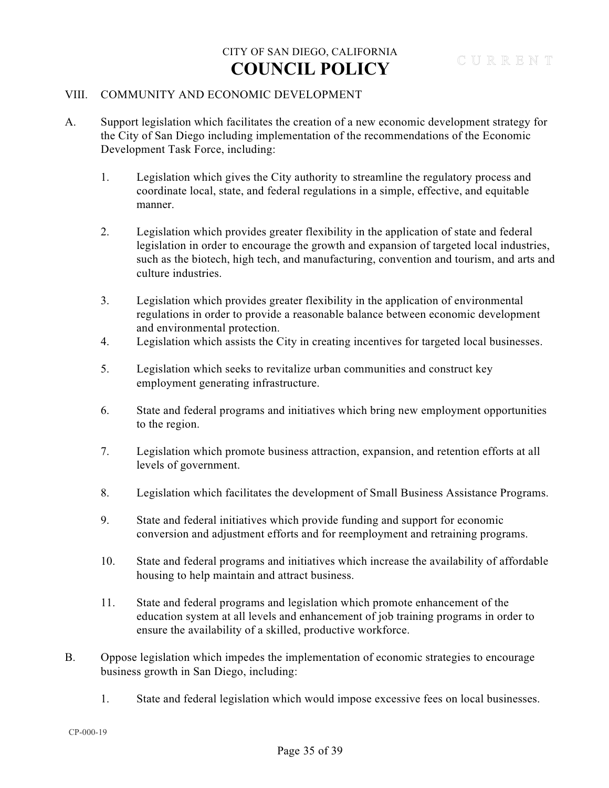#### VIII. COMMUNITY AND ECONOMIC DEVELOPMENT

- A. Support legislation which facilitates the creation of a new economic development strategy for the City of San Diego including implementation of the recommendations of the Economic Development Task Force, including:
	- 1. Legislation which gives the City authority to streamline the regulatory process and coordinate local, state, and federal regulations in a simple, effective, and equitable manner.
	- 2. Legislation which provides greater flexibility in the application of state and federal legislation in order to encourage the growth and expansion of targeted local industries, such as the biotech, high tech, and manufacturing, convention and tourism, and arts and culture industries.
	- 3. Legislation which provides greater flexibility in the application of environmental regulations in order to provide a reasonable balance between economic development and environmental protection.
	- 4. Legislation which assists the City in creating incentives for targeted local businesses.
	- 5. Legislation which seeks to revitalize urban communities and construct key employment generating infrastructure.
	- 6. State and federal programs and initiatives which bring new employment opportunities to the region.
	- 7. Legislation which promote business attraction, expansion, and retention efforts at all levels of government.
	- 8. Legislation which facilitates the development of Small Business Assistance Programs.
	- 9. State and federal initiatives which provide funding and support for economic conversion and adjustment efforts and for reemployment and retraining programs.
	- 10. State and federal programs and initiatives which increase the availability of affordable housing to help maintain and attract business.
	- 11. State and federal programs and legislation which promote enhancement of the education system at all levels and enhancement of job training programs in order to ensure the availability of a skilled, productive workforce.
- B. Oppose legislation which impedes the implementation of economic strategies to encourage business growth in San Diego, including:
	- 1. State and federal legislation which would impose excessive fees on local businesses.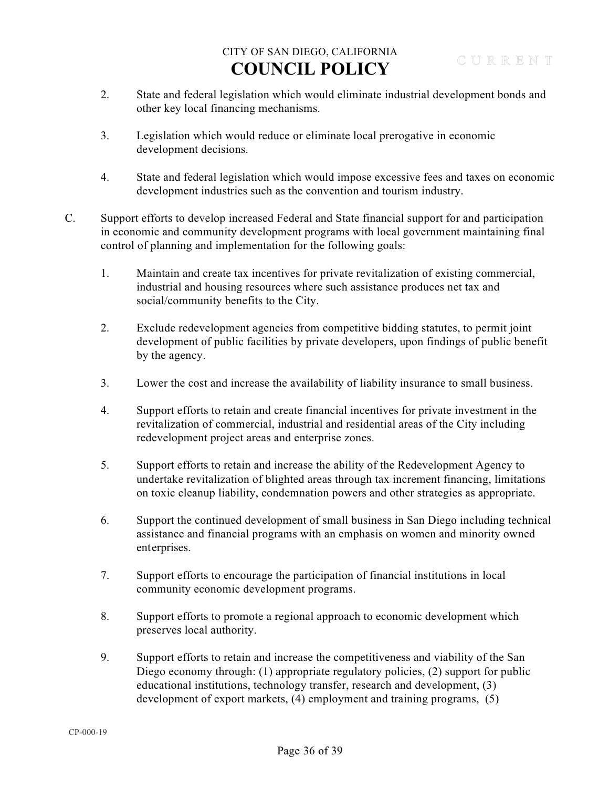- 2. State and federal legislation which would eliminate industrial development bonds and other key local financing mechanisms.
- 3. Legislation which would reduce or eliminate local prerogative in economic development decisions.
- 4. State and federal legislation which would impose excessive fees and taxes on economic development industries such as the convention and tourism industry.
- C. Support efforts to develop increased Federal and State financial support for and participation in economic and community development programs with local government maintaining final control of planning and implementation for the following goals:
	- 1. Maintain and create tax incentives for private revitalization of existing commercial, industrial and housing resources where such assistance produces net tax and social/community benefits to the City.
	- 2. Exclude redevelopment agencies from competitive bidding statutes, to permit joint development of public facilities by private developers, upon findings of public benefit by the agency.
	- 3. Lower the cost and increase the availability of liability insurance to small business.
	- 4. Support efforts to retain and create financial incentives for private investment in the revitalization of commercial, industrial and residential areas of the City including redevelopment project areas and enterprise zones.
	- 5. Support efforts to retain and increase the ability of the Redevelopment Agency to undertake revitalization of blighted areas through tax increment financing, limitations on toxic cleanup liability, condemnation powers and other strategies as appropriate.
	- 6. Support the continued development of small business in San Diego including technical assistance and financial programs with an emphasis on women and minority owned enterprises.
	- 7. Support efforts to encourage the participation of financial institutions in local community economic development programs.
	- 8. Support efforts to promote a regional approach to economic development which preserves local authority.
	- 9. Support efforts to retain and increase the competitiveness and viability of the San Diego economy through: (1) appropriate regulatory policies, (2) support for public educational institutions, technology transfer, research and development, (3) development of export markets, (4) employment and training programs, (5)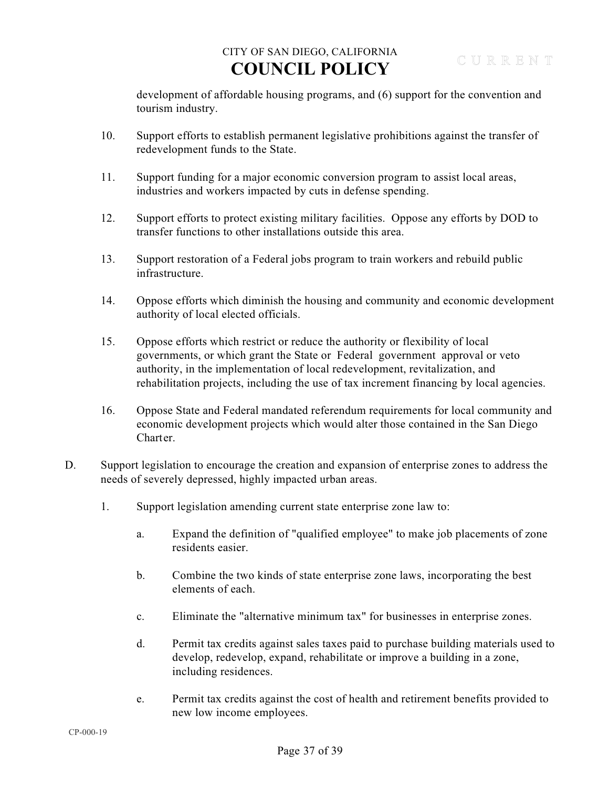development of affordable housing programs, and (6) support for the convention and tourism industry.

- 10. Support efforts to establish permanent legislative prohibitions against the transfer of redevelopment funds to the State.
- 11. Support funding for a major economic conversion program to assist local areas, industries and workers impacted by cuts in defense spending.
- 12. Support efforts to protect existing military facilities. Oppose any efforts by DOD to transfer functions to other installations outside this area.
- 13. Support restoration of a Federal jobs program to train workers and rebuild public infrastructure.
- 14. Oppose efforts which diminish the housing and community and economic development authority of local elected officials.
- 15. Oppose efforts which restrict or reduce the authority or flexibility of local governments, or which grant the State or Federal government approval or veto authority, in the implementation of local redevelopment, revitalization, and rehabilitation projects, including the use of tax increment financing by local agencies.
- 16. Oppose State and Federal mandated referendum requirements for local community and economic development projects which would alter those contained in the San Diego Charter.
- D. Support legislation to encourage the creation and expansion of enterprise zones to address the needs of severely depressed, highly impacted urban areas.
	- 1. Support legislation amending current state enterprise zone law to:
		- a. Expand the definition of "qualified employee" to make job placements of zone residents easier.
		- b. Combine the two kinds of state enterprise zone laws, incorporating the best elements of each.
		- c. Eliminate the "alternative minimum tax" for businesses in enterprise zones.
		- d. Permit tax credits against sales taxes paid to purchase building materials used to develop, redevelop, expand, rehabilitate or improve a building in a zone, including residences.
		- e. Permit tax credits against the cost of health and retirement benefits provided to new low income employees.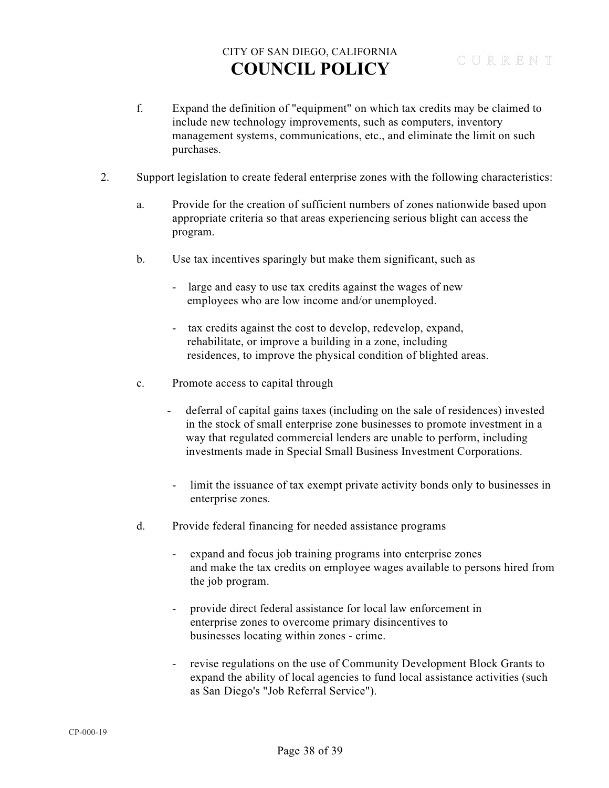- f. Expand the definition of "equipment" on which tax credits may be claimed to include new technology improvements, such as computers, inventory management systems, communications, etc., and eliminate the limit on such purchases.
- 2. Support legislation to create federal enterprise zones with the following characteristics:
	- a. Provide for the creation of sufficient numbers of zones nationwide based upon appropriate criteria so that areas experiencing serious blight can access the program.
	- b. Use tax incentives sparingly but make them significant, such as
		- large and easy to use tax credits against the wages of new employees who are low income and/or unemployed.
		- tax credits against the cost to develop, redevelop, expand, rehabilitate, or improve a building in a zone, including residences, to improve the physical condition of blighted areas.
	- c. Promote access to capital through
		- deferral of capital gains taxes (including on the sale of residences) invested in the stock of small enterprise zone businesses to promote investment in a way that regulated commercial lenders are unable to perform, including investments made in Special Small Business Investment Corporations.
		- limit the issuance of tax exempt private activity bonds only to businesses in enterprise zones.
	- d. Provide federal financing for needed assistance programs
		- expand and focus job training programs into enterprise zones and make the tax credits on employee wages available to persons hired from the job program.
		- provide direct federal assistance for local law enforcement in enterprise zones to overcome primary disincentives to businesses locating within zones - crime.
		- revise regulations on the use of Community Development Block Grants to expand the ability of local agencies to fund local assistance activities (such as San Diego's "Job Referral Service").